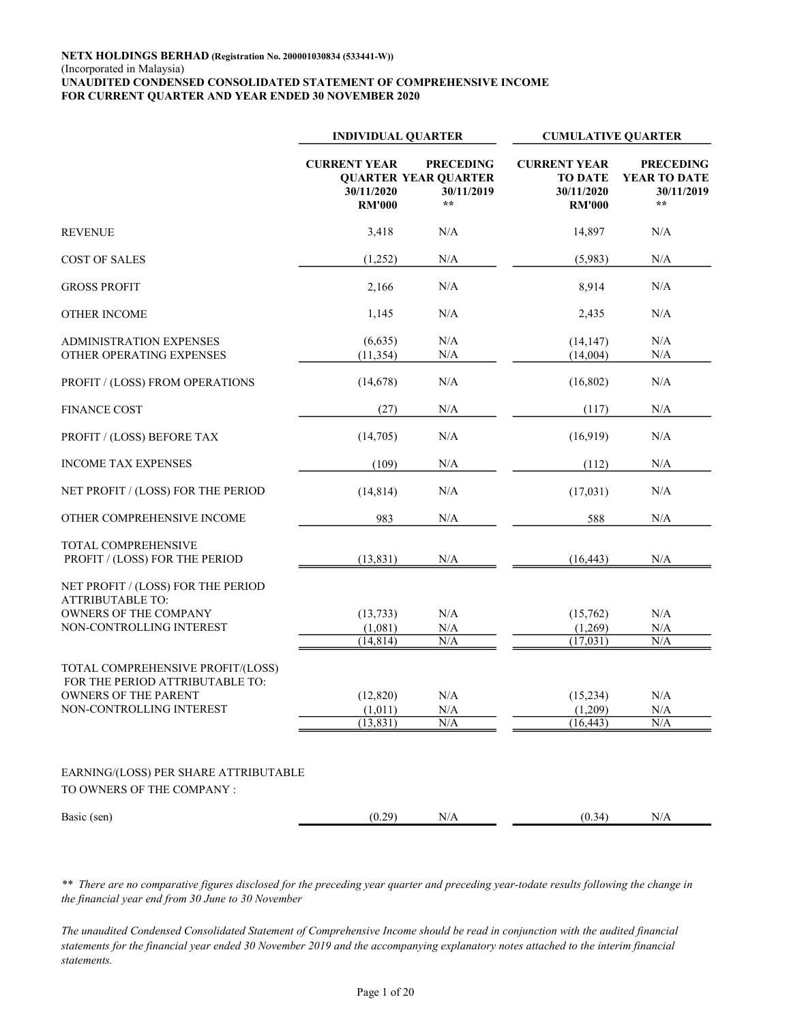|                                                                                                                                 | <b>INDIVIDUAL QUARTER</b>                          |                                                                        | <b>CUMULATIVE QUARTER</b>                                            |                                                                |
|---------------------------------------------------------------------------------------------------------------------------------|----------------------------------------------------|------------------------------------------------------------------------|----------------------------------------------------------------------|----------------------------------------------------------------|
|                                                                                                                                 | <b>CURRENT YEAR</b><br>30/11/2020<br><b>RM'000</b> | <b>PRECEDING</b><br><b>QUARTER YEAR QUARTER</b><br>30/11/2019<br>$* *$ | <b>CURRENT YEAR</b><br><b>TO DATE</b><br>30/11/2020<br><b>RM'000</b> | <b>PRECEDING</b><br>YEAR TO DATE<br>30/11/2019<br>$\star\star$ |
| <b>REVENUE</b>                                                                                                                  | 3,418                                              | N/A                                                                    | 14,897                                                               | N/A                                                            |
| <b>COST OF SALES</b>                                                                                                            | (1,252)                                            | N/A                                                                    | (5,983)                                                              | N/A                                                            |
| <b>GROSS PROFIT</b>                                                                                                             | 2,166                                              | $\rm N/A$                                                              | 8,914                                                                | N/A                                                            |
| <b>OTHER INCOME</b>                                                                                                             | 1,145                                              | $\rm N/A$                                                              | 2,435                                                                | N/A                                                            |
| <b>ADMINISTRATION EXPENSES</b><br>OTHER OPERATING EXPENSES                                                                      | (6,635)<br>(11, 354)                               | N/A<br>N/A                                                             | (14, 147)<br>(14,004)                                                | N/A<br>N/A                                                     |
| PROFIT / (LOSS) FROM OPERATIONS                                                                                                 | (14,678)                                           | N/A                                                                    | (16, 802)                                                            | N/A                                                            |
| <b>FINANCE COST</b>                                                                                                             | (27)                                               | N/A                                                                    | (117)                                                                | N/A                                                            |
| PROFIT / (LOSS) BEFORE TAX                                                                                                      | (14,705)                                           | N/A                                                                    | (16,919)                                                             | N/A                                                            |
| <b>INCOME TAX EXPENSES</b>                                                                                                      | (109)                                              | N/A                                                                    | (112)                                                                | N/A                                                            |
| NET PROFIT / (LOSS) FOR THE PERIOD                                                                                              | (14, 814)                                          | N/A                                                                    | (17, 031)                                                            | N/A                                                            |
| OTHER COMPREHENSIVE INCOME                                                                                                      | 983                                                | N/A                                                                    | 588                                                                  | N/A                                                            |
| TOTAL COMPREHENSIVE<br>PROFIT / (LOSS) FOR THE PERIOD                                                                           | (13, 831)                                          | N/A                                                                    | (16, 443)                                                            | N/A                                                            |
| NET PROFIT / (LOSS) FOR THE PERIOD<br><b>ATTRIBUTABLE TO:</b><br>OWNERS OF THE COMPANY<br>NON-CONTROLLING INTEREST              | (13, 733)<br>(1,081)<br>(14, 814)                  | $\rm N/A$<br>N/A<br>$\overline{\text{N/A}}$                            | (15,762)<br>(1,269)<br>(17,031)                                      | N/A<br>$\rm N/A$<br>N/A                                        |
| TOTAL COMPREHENSIVE PROFIT/(LOSS)<br>FOR THE PERIOD ATTRIBUTABLE TO:<br><b>OWNERS OF THE PARENT</b><br>NON-CONTROLLING INTEREST | (12,820)<br>(1,011)<br>(13, 831)                   | N/A<br>$\rm N/A$<br>N/A                                                | (15,234)<br>(1,209)<br>(16, 443)                                     | N/A<br>$\rm N/A$<br>N/A                                        |
| EARNING/(LOSS) PER SHARE ATTRIBUTABLE<br>TO OWNERS OF THE COMPANY :                                                             |                                                    |                                                                        |                                                                      |                                                                |
| Basic (sen)                                                                                                                     | (0.29)                                             | $\rm N/A$                                                              | (0.34)                                                               | N/A                                                            |

\*\* There are no comparative figures disclosed for the preceding year quarter and preceding year-todate results following the change in the financial year end from 30 June to 30 November

The unaudited Condensed Consolidated Statement of Comprehensive Income should be read in conjunction with the audited financial statements for the financial year ended 30 November 2019 and the accompanying explanatory notes attached to the interim financial statements.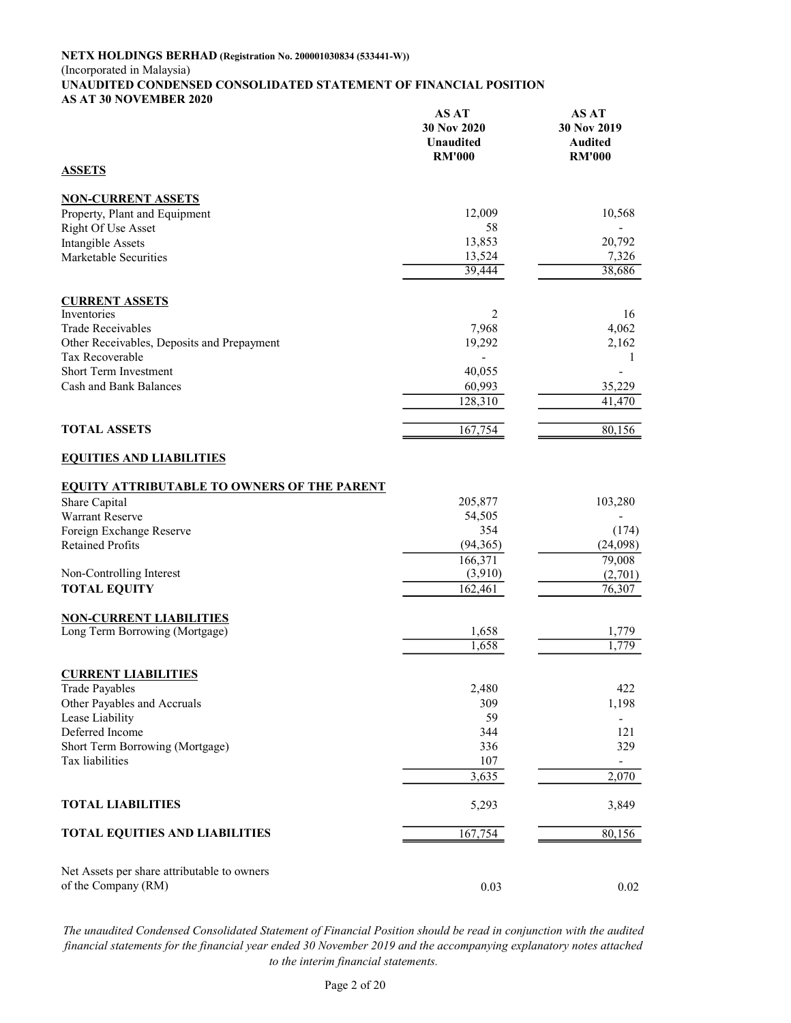#### NETX HOLDINGS BERHAD (Registration No. 200001030834 (533441-W)) (Incorporated in Malaysia) UNAUDITED CONDENSED CONSOLIDATED STATEMENT OF FINANCIAL POSITION AS AT 30 NOVEMBER 2020 AS AT AS AT

|                                                    | AS A I<br>30 Nov 2020<br>Unaudited<br><b>RM'000</b> | A9 A I<br>30 Nov 2019<br><b>Audited</b><br><b>RM'000</b> |
|----------------------------------------------------|-----------------------------------------------------|----------------------------------------------------------|
| <b>ASSETS</b>                                      |                                                     |                                                          |
| <b>NON-CURRENT ASSETS</b>                          |                                                     |                                                          |
| Property, Plant and Equipment                      | 12,009                                              | 10,568                                                   |
| <b>Right Of Use Asset</b>                          | 58                                                  |                                                          |
| <b>Intangible Assets</b>                           | 13,853                                              | 20,792                                                   |
| Marketable Securities                              | 13,524<br>39,444                                    | 7,326<br>38,686                                          |
| <b>CURRENT ASSETS</b>                              |                                                     |                                                          |
| Inventories                                        | 2                                                   | 16                                                       |
| <b>Trade Receivables</b>                           | 7,968                                               | 4,062                                                    |
| Other Receivables, Deposits and Prepayment         | 19,292                                              | 2,162                                                    |
| Tax Recoverable                                    |                                                     | 1                                                        |
| Short Term Investment                              | 40,055                                              |                                                          |
| Cash and Bank Balances                             | 60,993                                              | 35,229                                                   |
|                                                    | 128,310                                             | 41,470                                                   |
| <b>TOTAL ASSETS</b>                                | 167,754                                             | 80,156                                                   |
| <b>EQUITIES AND LIABILITIES</b>                    |                                                     |                                                          |
| <b>EQUITY ATTRIBUTABLE TO OWNERS OF THE PARENT</b> |                                                     |                                                          |
| Share Capital                                      | 205,877                                             | 103,280                                                  |
| Warrant Reserve                                    | 54,505                                              |                                                          |
| Foreign Exchange Reserve                           | 354                                                 | (174)                                                    |
| <b>Retained Profits</b>                            | (94, 365)<br>166,371                                | (24,098)<br>79,008                                       |
| Non-Controlling Interest                           | (3,910)                                             | (2,701)                                                  |
| <b>TOTAL EQUITY</b>                                | 162,461                                             | 76,307                                                   |
|                                                    |                                                     |                                                          |
| <b>NON-CURRENT LIABILITIES</b>                     |                                                     |                                                          |
| Long Term Borrowing (Mortgage)                     | 1,658                                               | 1,779                                                    |
|                                                    | 1,658                                               | 1,779                                                    |
| <b>CURRENT LIABILITIES</b>                         |                                                     |                                                          |
| <b>Trade Payables</b>                              | 2,480                                               | 422                                                      |
| Other Payables and Accruals                        | 309                                                 | 1,198                                                    |
| Lease Liability                                    | 59                                                  |                                                          |
| Deferred Income                                    | 344                                                 | 121                                                      |
| Short Term Borrowing (Mortgage)<br>Tax liabilities | 336                                                 | 329                                                      |
|                                                    | 107<br>3,635                                        | $\overline{\phantom{a}}$<br>2,070                        |
|                                                    |                                                     |                                                          |
| <b>TOTAL LIABILITIES</b>                           | 5,293                                               | 3,849                                                    |
| <b>TOTAL EQUITIES AND LIABILITIES</b>              | 167,754                                             | 80,156                                                   |
| Net Assets per share attributable to owners        |                                                     |                                                          |
| of the Company (RM)                                | 0.03                                                | 0.02                                                     |

The unaudited Condensed Consolidated Statement of Financial Position should be read in conjunction with the audited financial statements for the financial year ended 30 November 2019 and the accompanying explanatory notes attached to the interim financial statements.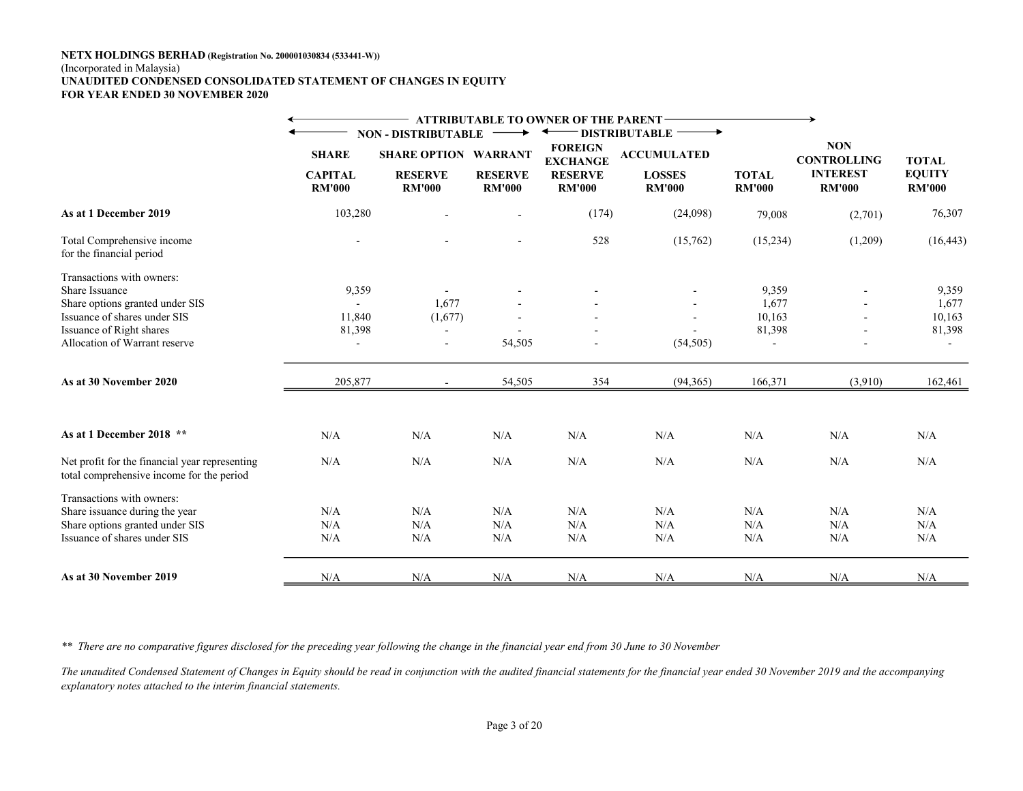#### NETX HOLDINGS BERHAD (Registration No. 200001030834 (533441-W)) (Incorporated in Malaysia) UNAUDITED CONDENSED CONSOLIDATED STATEMENT OF CHANGES IN EQUITY FOR YEAR ENDED 30 NOVEMBER 2020

|                                                                                             |                                |                                 |                                 | <b>ATTRIBUTABLE TO OWNER OF THE PARENT-</b> |                                |               |                                                     |                               |
|---------------------------------------------------------------------------------------------|--------------------------------|---------------------------------|---------------------------------|---------------------------------------------|--------------------------------|---------------|-----------------------------------------------------|-------------------------------|
|                                                                                             |                                | <b>NON - DISTRIBUTABLE</b>      |                                 |                                             | <b>DISTRIBUTABLE</b>           |               |                                                     |                               |
|                                                                                             | <b>SHARE</b><br><b>CAPITAL</b> | <b>SHARE OPTION WARRANT</b>     |                                 | <b>FOREIGN</b><br><b>EXCHANGE</b>           | <b>ACCUMULATED</b>             | <b>TOTAL</b>  | <b>NON</b><br><b>CONTROLLING</b><br><b>INTEREST</b> | <b>TOTAL</b><br><b>EQUITY</b> |
|                                                                                             | <b>RM'000</b>                  | <b>RESERVE</b><br><b>RM'000</b> | <b>RESERVE</b><br><b>RM'000</b> | <b>RESERVE</b><br><b>RM'000</b>             | <b>LOSSES</b><br><b>RM'000</b> | <b>RM'000</b> | <b>RM'000</b>                                       | <b>RM'000</b>                 |
| As at 1 December 2019                                                                       | 103,280                        |                                 |                                 | (174)                                       | (24,098)                       | 79,008        | (2,701)                                             | 76,307                        |
| Total Comprehensive income<br>for the financial period                                      |                                |                                 |                                 | 528                                         | (15,762)                       | (15,234)      | (1,209)                                             | (16, 443)                     |
| Transactions with owners:                                                                   |                                |                                 |                                 |                                             |                                |               |                                                     |                               |
| <b>Share Issuance</b>                                                                       | 9,359                          |                                 |                                 |                                             |                                | 9,359         |                                                     | 9,359                         |
| Share options granted under SIS                                                             |                                | 1,677                           |                                 |                                             |                                | 1,677         |                                                     | 1,677                         |
| Issuance of shares under SIS                                                                | 11,840                         | (1,677)                         |                                 |                                             |                                | 10,163        |                                                     | 10,163                        |
| Issuance of Right shares                                                                    | 81,398                         | $\blacksquare$                  |                                 |                                             |                                | 81,398        |                                                     | 81,398                        |
| Allocation of Warrant reserve                                                               | $\sim$                         | $\overline{\phantom{a}}$        | 54,505                          |                                             | (54, 505)                      |               |                                                     |                               |
| As at 30 November 2020                                                                      | 205,877                        |                                 | 54,505                          | 354                                         | (94, 365)                      | 166,371       | (3,910)                                             | 162,461                       |
| As at 1 December 2018 **                                                                    | N/A                            | N/A                             | N/A                             | N/A                                         | N/A                            | N/A           | N/A                                                 | N/A                           |
| Net profit for the financial year representing<br>total comprehensive income for the period | N/A                            | N/A                             | N/A                             | N/A                                         | N/A                            | N/A           | N/A                                                 | N/A                           |
| Transactions with owners:                                                                   |                                |                                 |                                 |                                             |                                |               |                                                     |                               |
| Share issuance during the year                                                              | N/A                            | N/A                             | N/A                             | N/A                                         | N/A                            | N/A           | N/A                                                 | N/A                           |
| Share options granted under SIS                                                             | N/A                            | N/A                             | N/A                             | N/A                                         | N/A                            | N/A           | N/A                                                 | N/A                           |
| Issuance of shares under SIS                                                                | $\rm N/A$                      | N/A                             | N/A                             | N/A                                         | N/A                            | N/A           | N/A                                                 | N/A                           |
| As at 30 November 2019                                                                      | N/A                            | N/A                             | N/A                             | N/A                                         | N/A                            | N/A           | N/A                                                 | N/A                           |

\*\* There are no comparative figures disclosed for the preceding year following the change in the financial year end from 30 June to 30 November

The unaudited Condensed Statement of Changes in Equity should be read in conjunction with the audited financial statements for the financial year ended 30 November 2019 and the accompanying explanatory notes attached to the interim financial statements.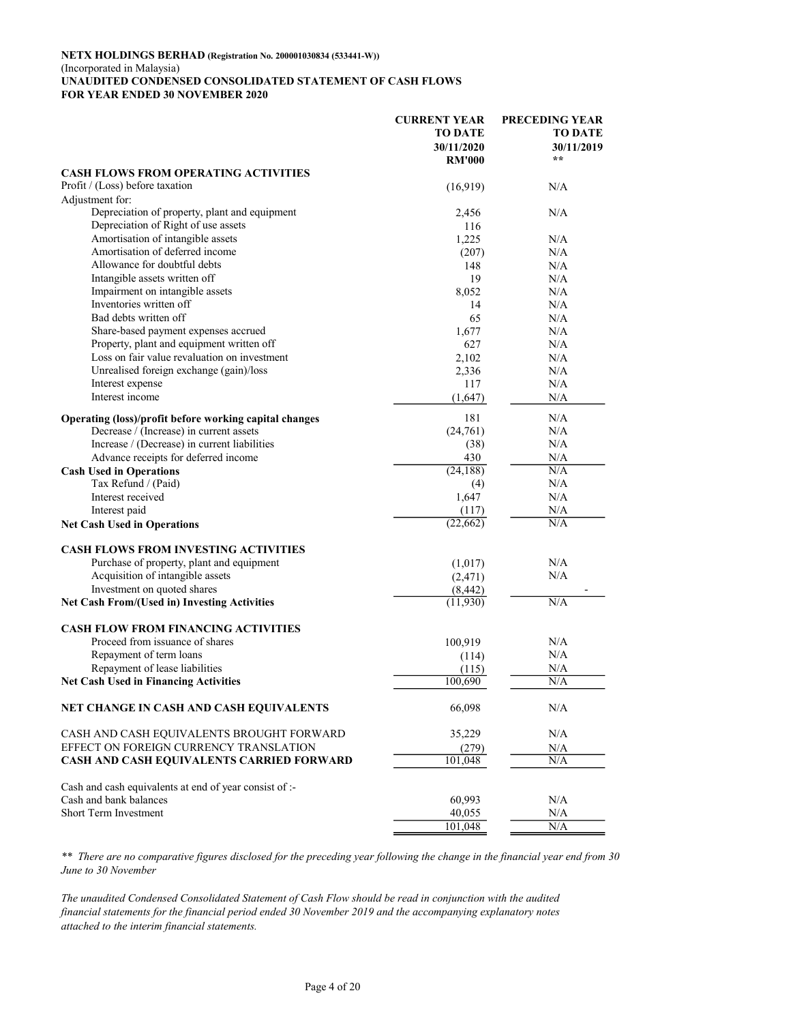#### NETX HOLDINGS BERHAD (Registration No. 200001030834 (533441-W)) (Incorporated in Malaysia) UNAUDITED CONDENSED CONSOLIDATED STATEMENT OF CASH FLOWS FOR YEAR ENDED 30 NOVEMBER 2020

|                                                        | <b>CURRENT YEAR</b><br><b>TO DATE</b><br>30/11/2020<br><b>RM'000</b> | <b>PRECEDING YEAR</b><br><b>TO DATE</b><br>30/11/2019<br>$* *$ |
|--------------------------------------------------------|----------------------------------------------------------------------|----------------------------------------------------------------|
| <b>CASH FLOWS FROM OPERATING ACTIVITIES</b>            |                                                                      |                                                                |
| Profit / (Loss) before taxation                        | (16,919)                                                             | N/A                                                            |
| Adjustment for:                                        |                                                                      |                                                                |
| Depreciation of property, plant and equipment          | 2,456                                                                | N/A                                                            |
| Depreciation of Right of use assets                    | 116                                                                  |                                                                |
| Amortisation of intangible assets                      | 1,225                                                                | N/A                                                            |
| Amortisation of deferred income                        | (207)                                                                | N/A                                                            |
| Allowance for doubtful debts                           | 148                                                                  | N/A                                                            |
| Intangible assets written off                          | 19                                                                   | N/A                                                            |
| Impairment on intangible assets                        | 8,052                                                                | N/A                                                            |
| Inventories written off                                | 14                                                                   | N/A                                                            |
| Bad debts written off                                  | 65                                                                   | N/A                                                            |
| Share-based payment expenses accrued                   | 1,677                                                                | N/A                                                            |
| Property, plant and equipment written off              | 627                                                                  | N/A                                                            |
| Loss on fair value revaluation on investment           | 2,102                                                                | N/A                                                            |
| Unrealised foreign exchange (gain)/loss                | 2,336                                                                | N/A                                                            |
| Interest expense                                       | 117                                                                  | N/A                                                            |
| Interest income                                        | (1,647)                                                              | N/A                                                            |
| Operating (loss)/profit before working capital changes | 181                                                                  | N/A                                                            |
| Decrease / (Increase) in current assets                | (24,761)                                                             | N/A                                                            |
| Increase / (Decrease) in current liabilities           | (38)                                                                 | N/A                                                            |
| Advance receipts for deferred income                   | 430                                                                  | N/A                                                            |
| <b>Cash Used in Operations</b>                         | (24, 188)                                                            | N/A                                                            |
| Tax Refund / (Paid)                                    | (4)                                                                  | N/A                                                            |
| Interest received                                      | 1,647                                                                | N/A                                                            |
| Interest paid                                          | (117)                                                                | N/A                                                            |
| <b>Net Cash Used in Operations</b>                     | (22, 662)                                                            | N/A                                                            |
| <b>CASH FLOWS FROM INVESTING ACTIVITIES</b>            |                                                                      |                                                                |
| Purchase of property, plant and equipment              | (1,017)                                                              | N/A                                                            |
| Acquisition of intangible assets                       | (2, 471)                                                             | N/A                                                            |
| Investment on quoted shares                            | (8, 442)                                                             |                                                                |
| <b>Net Cash From/(Used in) Investing Activities</b>    | (11,930)                                                             | N/A                                                            |
| <b>CASH FLOW FROM FINANCING ACTIVITIES</b>             |                                                                      |                                                                |
| Proceed from issuance of shares                        | 100,919                                                              | N/A                                                            |
| Repayment of term loans                                | (114)                                                                | N/A                                                            |
| Repayment of lease liabilities                         | (115)                                                                | N/A                                                            |
| <b>Net Cash Used in Financing Activities</b>           | 100,690                                                              | N/A                                                            |
| NET CHANGE IN CASH AND CASH EQUIVALENTS                | 66,098                                                               | N/A                                                            |
|                                                        |                                                                      |                                                                |
| CASH AND CASH EQUIVALENTS BROUGHT FORWARD              | 35,229                                                               | N/A                                                            |
| EFFECT ON FOREIGN CURRENCY TRANSLATION                 | (279)                                                                | N/A                                                            |
| CASH AND CASH EQUIVALENTS CARRIED FORWARD              | 101,048                                                              | N/A                                                            |
| Cash and cash equivalents at end of year consist of :- |                                                                      |                                                                |
| Cash and bank balances                                 | 60,993                                                               | N/A                                                            |
| Short Term Investment                                  | 40,055                                                               | N/A                                                            |
|                                                        | 101,048                                                              | N/A                                                            |

\*\* There are no comparative figures disclosed for the preceding year following the change in the financial year end from 30 June to 30 November

The unaudited Condensed Consolidated Statement of Cash Flow should be read in conjunction with the audited financial statements for the financial period ended 30 November 2019 and the accompanying explanatory notes attached to the interim financial statements.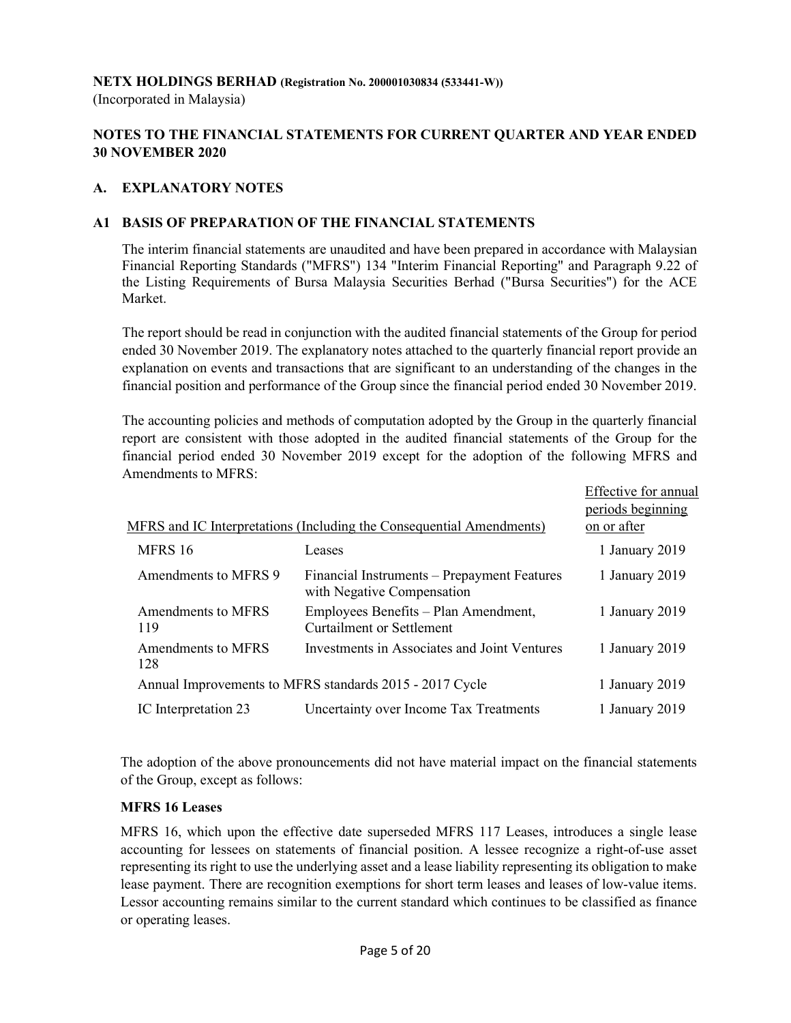### NETX HOLDINGS BERHAD (Registration No. 200001030834 (533441-W))

(Incorporated in Malaysia)

# NOTES TO THE FINANCIAL STATEMENTS FOR CURRENT QUARTER AND YEAR ENDED 30 NOVEMBER 2020

# A. EXPLANATORY NOTES

# A1 BASIS OF PREPARATION OF THE FINANCIAL STATEMENTS

 The interim financial statements are unaudited and have been prepared in accordance with Malaysian Financial Reporting Standards ("MFRS") 134 "Interim Financial Reporting" and Paragraph 9.22 of the Listing Requirements of Bursa Malaysia Securities Berhad ("Bursa Securities") for the ACE Market.

 The report should be read in conjunction with the audited financial statements of the Group for period ended 30 November 2019. The explanatory notes attached to the quarterly financial report provide an explanation on events and transactions that are significant to an understanding of the changes in the financial position and performance of the Group since the financial period ended 30 November 2019.

 The accounting policies and methods of computation adopted by the Group in the quarterly financial report are consistent with those adopted in the audited financial statements of the Group for the financial period ended 30 November 2019 except for the adoption of the following MFRS and Amendments to MFRS:

|                           |                                                                             | Effective for annual<br>periods beginning |
|---------------------------|-----------------------------------------------------------------------------|-------------------------------------------|
|                           | <u>MFRS and IC Interpretations (Including the Consequential Amendments)</u> | on or after                               |
| MFRS 16                   | Leases                                                                      | 1 January 2019                            |
| Amendments to MFRS 9      | Financial Instruments – Prepayment Features<br>with Negative Compensation   | 1 January 2019                            |
| Amendments to MFRS<br>119 | Employees Benefits – Plan Amendment,<br><b>Curtailment or Settlement</b>    | 1 January 2019                            |
| Amendments to MFRS<br>128 | Investments in Associates and Joint Ventures                                | 1 January 2019                            |
|                           | Annual Improvements to MFRS standards 2015 - 2017 Cycle                     | 1 January 2019                            |
| IC Interpretation 23      | Uncertainty over Income Tax Treatments                                      | 1 January 2019                            |

The adoption of the above pronouncements did not have material impact on the financial statements of the Group, except as follows:

#### MFRS 16 Leases

MFRS 16, which upon the effective date superseded MFRS 117 Leases, introduces a single lease accounting for lessees on statements of financial position. A lessee recognize a right-of-use asset representing its right to use the underlying asset and a lease liability representing its obligation to make lease payment. There are recognition exemptions for short term leases and leases of low-value items. Lessor accounting remains similar to the current standard which continues to be classified as finance or operating leases.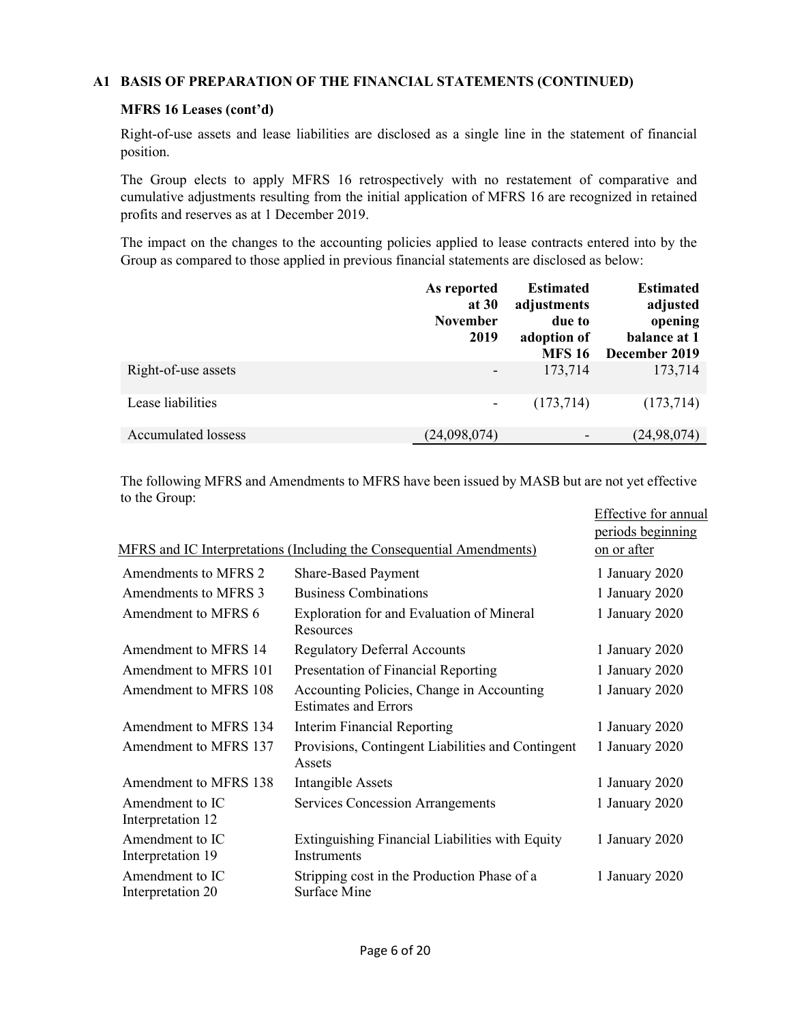# A1 BASIS OF PREPARATION OF THE FINANCIAL STATEMENTS (CONTINUED)

### MFRS 16 Leases (cont'd)

Right-of-use assets and lease liabilities are disclosed as a single line in the statement of financial position.

The Group elects to apply MFRS 16 retrospectively with no restatement of comparative and cumulative adjustments resulting from the initial application of MFRS 16 are recognized in retained profits and reserves as at 1 December 2019.

The impact on the changes to the accounting policies applied to lease contracts entered into by the Group as compared to those applied in previous financial statements are disclosed as below:

|                            | As reported<br>at 30<br><b>November</b><br>2019 | <b>Estimated</b><br>adjustments<br>due to<br>adoption of<br><b>MFS 16</b> | <b>Estimated</b><br>adjusted<br>opening<br>balance at 1<br>December 2019 |
|----------------------------|-------------------------------------------------|---------------------------------------------------------------------------|--------------------------------------------------------------------------|
| Right-of-use assets        |                                                 | 173,714                                                                   | 173,714                                                                  |
| Lease liabilities          |                                                 | (173, 714)                                                                | (173, 714)                                                               |
| <b>Accumulated lossess</b> | (24,098,074)                                    |                                                                           | (24, 98, 074)                                                            |

The following MFRS and Amendments to MFRS have been issued by MASB but are not yet effective to the Group:

|                                      |                                                                          | <b>Effective for annual</b>      |
|--------------------------------------|--------------------------------------------------------------------------|----------------------------------|
|                                      | MFRS and IC Interpretations (Including the Consequential Amendments)     | periods beginning<br>on or after |
| Amendments to MFRS 2                 |                                                                          |                                  |
|                                      | <b>Share-Based Payment</b>                                               | 1 January 2020                   |
| Amendments to MFRS 3                 | <b>Business Combinations</b>                                             | 1 January 2020                   |
| Amendment to MFRS 6                  | Exploration for and Evaluation of Mineral<br>Resources                   | 1 January 2020                   |
| Amendment to MFRS 14                 | <b>Regulatory Deferral Accounts</b>                                      | 1 January 2020                   |
| Amendment to MFRS 101                | Presentation of Financial Reporting                                      | 1 January 2020                   |
| Amendment to MFRS 108                | Accounting Policies, Change in Accounting<br><b>Estimates and Errors</b> | 1 January 2020                   |
| Amendment to MFRS 134                | <b>Interim Financial Reporting</b>                                       | 1 January 2020                   |
| Amendment to MFRS 137                | Provisions, Contingent Liabilities and Contingent<br>Assets              | 1 January 2020                   |
| Amendment to MFRS 138                | <b>Intangible Assets</b>                                                 | 1 January 2020                   |
| Amendment to IC<br>Interpretation 12 | <b>Services Concession Arrangements</b>                                  | 1 January 2020                   |
| Amendment to IC<br>Interpretation 19 | Extinguishing Financial Liabilities with Equity<br>Instruments           | 1 January 2020                   |
| Amendment to IC<br>Interpretation 20 | Stripping cost in the Production Phase of a<br>Surface Mine              | 1 January 2020                   |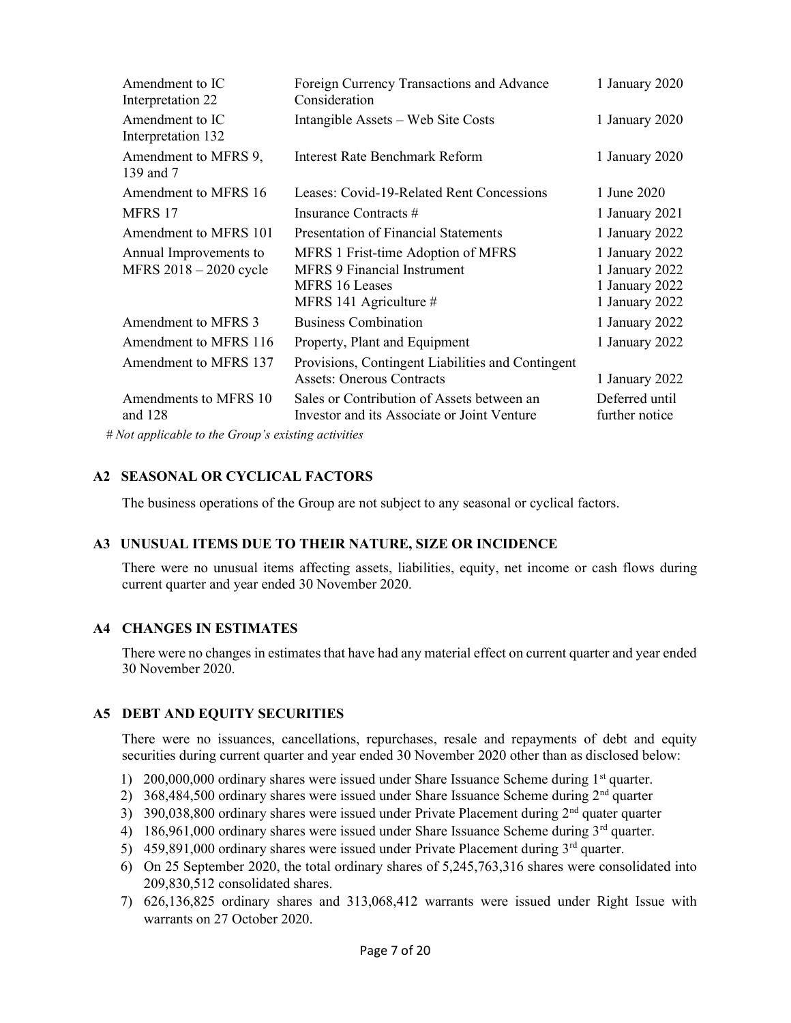| Amendment to IC<br>Interpretation 22             | Foreign Currency Transactions and Advance<br>Consideration                                                           | 1 January 2020                                                       |
|--------------------------------------------------|----------------------------------------------------------------------------------------------------------------------|----------------------------------------------------------------------|
| Amendment to IC<br>Interpretation 132            | Intangible Assets – Web Site Costs                                                                                   | 1 January 2020                                                       |
| Amendment to MFRS 9,<br>139 and 7                | Interest Rate Benchmark Reform                                                                                       | 1 January 2020                                                       |
| Amendment to MFRS 16                             | Leases: Covid-19-Related Rent Concessions                                                                            | 1 June 2020                                                          |
| MFRS 17                                          | Insurance Contracts #                                                                                                | 1 January 2021                                                       |
| Amendment to MFRS 101                            | <b>Presentation of Financial Statements</b>                                                                          | 1 January 2022                                                       |
| Annual Improvements to<br>MFRS 2018 - 2020 cycle | MFRS 1 Frist-time Adoption of MFRS<br><b>MFRS 9 Financial Instrument</b><br>MFRS 16 Leases<br>MFRS 141 Agriculture # | 1 January 2022<br>1 January 2022<br>1 January 2022<br>1 January 2022 |
| Amendment to MFRS 3                              | <b>Business Combination</b>                                                                                          | 1 January 2022                                                       |
| Amendment to MFRS 116                            | Property, Plant and Equipment                                                                                        | 1 January 2022                                                       |
| Amendment to MFRS 137                            | Provisions, Contingent Liabilities and Contingent<br><b>Assets: Onerous Contracts</b>                                | 1 January 2022                                                       |
| Amendments to MFRS 10<br>and $128$               | Sales or Contribution of Assets between an<br>Investor and its Associate or Joint Venture                            | Deferred until<br>further notice                                     |

# Not applicable to the Group's existing activities

# A2 SEASONAL OR CYCLICAL FACTORS

The business operations of the Group are not subject to any seasonal or cyclical factors.

#### A3 UNUSUAL ITEMS DUE TO THEIR NATURE, SIZE OR INCIDENCE

 There were no unusual items affecting assets, liabilities, equity, net income or cash flows during current quarter and year ended 30 November 2020.

#### A4 CHANGES IN ESTIMATES

 There were no changes in estimates that have had any material effect on current quarter and year ended 30 November 2020.

#### A5 DEBT AND EQUITY SECURITIES

 There were no issuances, cancellations, repurchases, resale and repayments of debt and equity securities during current quarter and year ended 30 November 2020 other than as disclosed below:

- 1) 200,000,000 ordinary shares were issued under Share Issuance Scheme during 1<sup>st</sup> quarter.
- 2) 368,484,500 ordinary shares were issued under Share Issuance Scheme during  $2<sup>nd</sup>$  quarter
- 3) 390,038,800 ordinary shares were issued under Private Placement during  $2<sup>nd</sup>$  quater quarter
- 4) 186,961,000 ordinary shares were issued under Share Issuance Scheme during  $3<sup>rd</sup>$  quarter.
- 5) 459,891,000 ordinary shares were issued under Private Placement during  $3<sup>rd</sup>$  quarter.
- 6) On 25 September 2020, the total ordinary shares of 5,245,763,316 shares were consolidated into 209,830,512 consolidated shares.
- 7) 626,136,825 ordinary shares and 313,068,412 warrants were issued under Right Issue with warrants on 27 October 2020.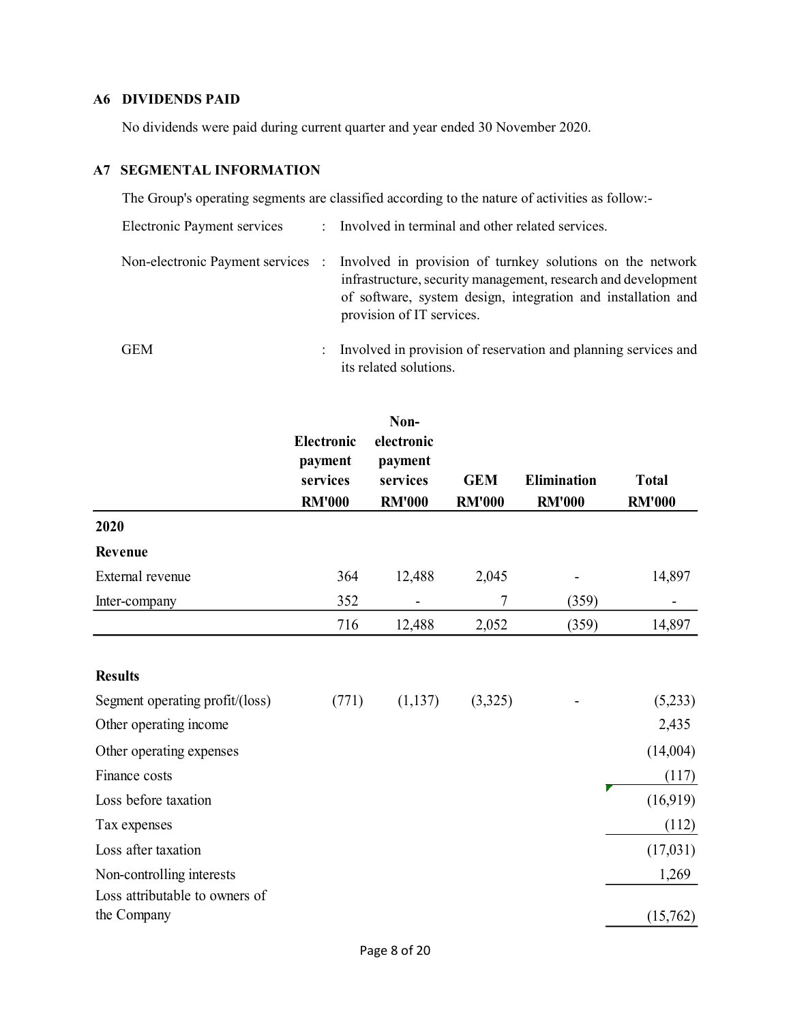# A6 DIVIDENDS PAID

No dividends were paid during current quarter and year ended 30 November 2020.

# A7 SEGMENTAL INFORMATION

The Group's operating segments are classified according to the nature of activities as follow:-

| <b>Electronic Payment services</b> | : Involved in terminal and other related services.                                                                                                                                                                                                        |
|------------------------------------|-----------------------------------------------------------------------------------------------------------------------------------------------------------------------------------------------------------------------------------------------------------|
|                                    | Non-electronic Payment services : Involved in provision of turnkey solutions on the network<br>infrastructure, security management, research and development<br>of software, system design, integration and installation and<br>provision of IT services. |
| GEM                                | : Involved in provision of reservation and planning services and<br>its related solutions.                                                                                                                                                                |

|                                               | <b>Electronic</b><br>payment<br>services | Non-<br>electronic<br>payment<br>services | <b>GEM</b>    | <b>Elimination</b> | <b>Total</b>  |
|-----------------------------------------------|------------------------------------------|-------------------------------------------|---------------|--------------------|---------------|
|                                               | <b>RM'000</b>                            | <b>RM'000</b>                             | <b>RM'000</b> | <b>RM'000</b>      | <b>RM'000</b> |
| 2020                                          |                                          |                                           |               |                    |               |
| Revenue                                       |                                          |                                           |               |                    |               |
| External revenue                              | 364                                      | 12,488                                    | 2,045         |                    | 14,897        |
| Inter-company                                 | 352                                      |                                           | 7             | (359)              |               |
|                                               | 716                                      | 12,488                                    | 2,052         | (359)              | 14,897        |
| <b>Results</b>                                |                                          |                                           |               |                    |               |
| Segment operating profit/(loss)               | (771)                                    | (1,137)                                   | (3,325)       |                    | (5,233)       |
| Other operating income                        |                                          |                                           |               |                    | 2,435         |
| Other operating expenses                      |                                          |                                           |               |                    | (14,004)      |
| Finance costs                                 |                                          |                                           |               |                    | (117)         |
| Loss before taxation                          |                                          |                                           |               |                    | (16,919)      |
| Tax expenses                                  |                                          |                                           |               |                    | (112)         |
| Loss after taxation                           |                                          |                                           |               |                    | (17,031)      |
| Non-controlling interests                     |                                          |                                           |               |                    | 1,269         |
| Loss attributable to owners of<br>the Company |                                          |                                           |               |                    | (15,762)      |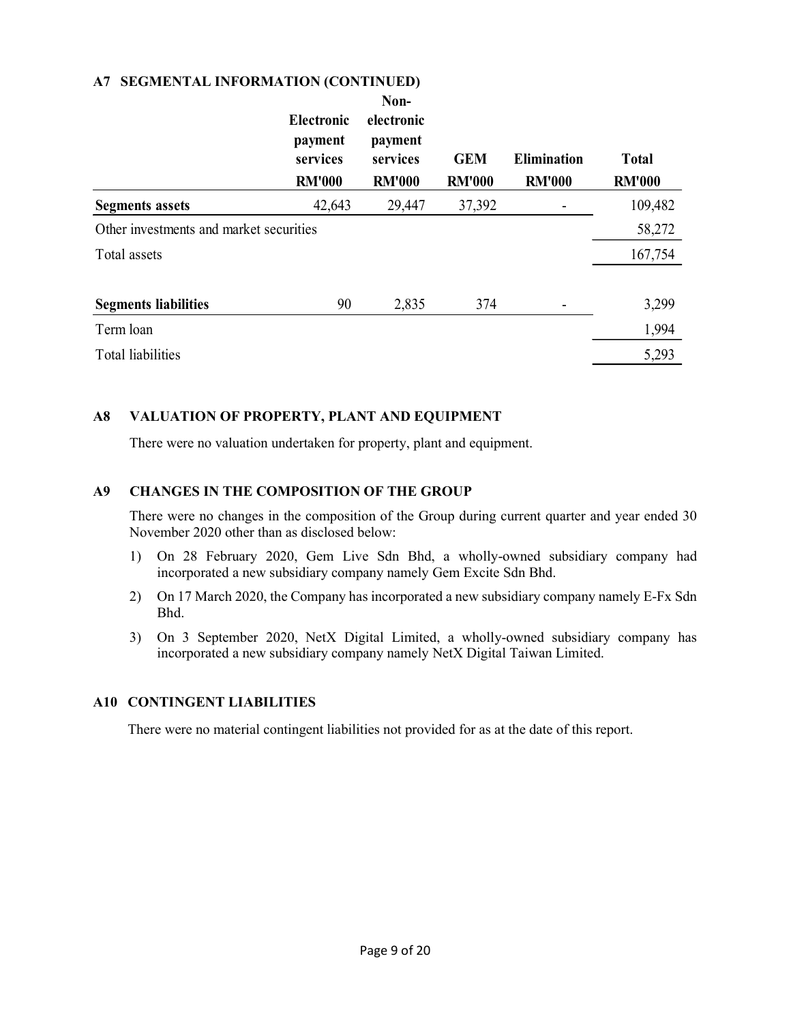### A7 SEGMENTAL INFORMATION (CONTINUED)

|                                         | <b>Electronic</b><br>payment<br>services<br><b>RM'000</b> | Non-<br>electronic<br>payment<br>services<br><b>RM'000</b> | <b>GEM</b><br><b>RM'000</b> | <b>Elimination</b><br><b>RM'000</b> | <b>Total</b><br><b>RM'000</b> |
|-----------------------------------------|-----------------------------------------------------------|------------------------------------------------------------|-----------------------------|-------------------------------------|-------------------------------|
| <b>Segments assets</b>                  | 42,643                                                    | 29,447                                                     | 37,392                      |                                     | 109,482                       |
| Other investments and market securities |                                                           |                                                            |                             |                                     | 58,272                        |
| Total assets                            |                                                           |                                                            |                             |                                     | 167,754                       |
| <b>Segments liabilities</b>             | 90                                                        | 2,835                                                      | 374                         |                                     | 3,299                         |
| Term loan                               |                                                           |                                                            |                             |                                     | 1,994                         |
| <b>Total liabilities</b>                |                                                           |                                                            |                             |                                     | 5,293                         |

# A8 VALUATION OF PROPERTY, PLANT AND EQUIPMENT

There were no valuation undertaken for property, plant and equipment.

# A9 CHANGES IN THE COMPOSITION OF THE GROUP

There were no changes in the composition of the Group during current quarter and year ended 30 November 2020 other than as disclosed below:

- 1) On 28 February 2020, Gem Live Sdn Bhd, a wholly-owned subsidiary company had incorporated a new subsidiary company namely Gem Excite Sdn Bhd.
- 2) On 17 March 2020, the Company has incorporated a new subsidiary company namely E-Fx Sdn Bhd.
- 3) On 3 September 2020, NetX Digital Limited, a wholly-owned subsidiary company has incorporated a new subsidiary company namely NetX Digital Taiwan Limited.

#### A10 CONTINGENT LIABILITIES

There were no material contingent liabilities not provided for as at the date of this report.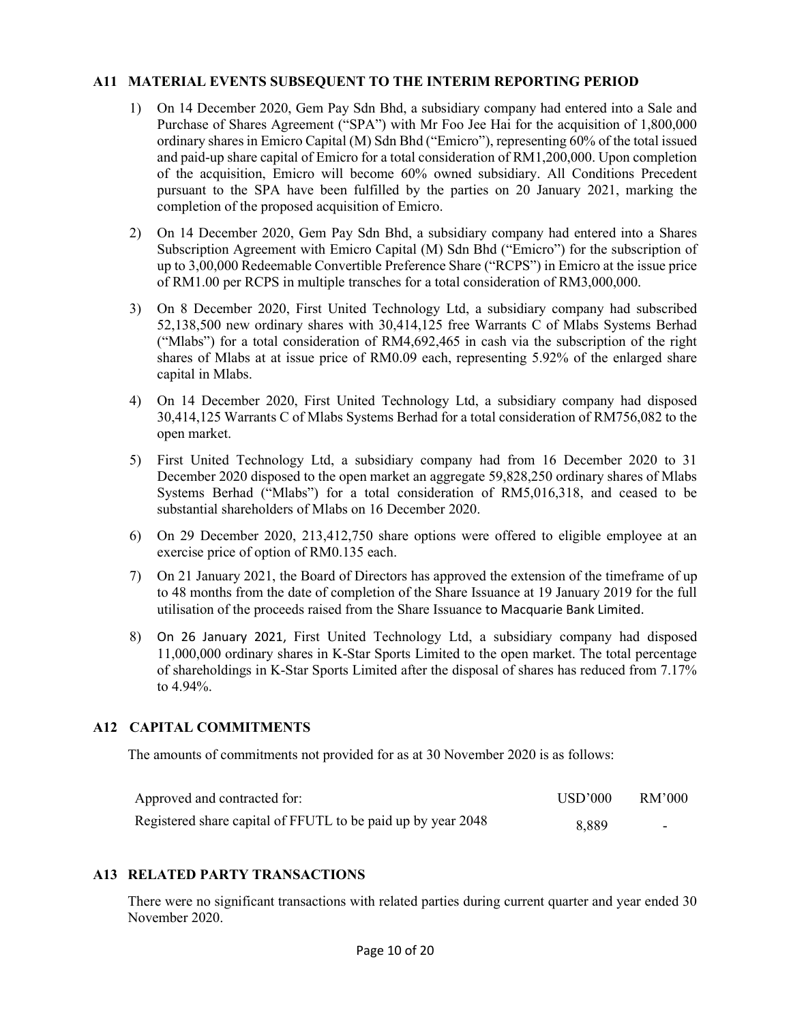#### A11 MATERIAL EVENTS SUBSEQUENT TO THE INTERIM REPORTING PERIOD

- 1) On 14 December 2020, Gem Pay Sdn Bhd, a subsidiary company had entered into a Sale and Purchase of Shares Agreement ("SPA") with Mr Foo Jee Hai for the acquisition of 1,800,000 ordinary shares in Emicro Capital (M) Sdn Bhd ("Emicro"), representing 60% of the total issued and paid-up share capital of Emicro for a total consideration of RM1,200,000. Upon completion of the acquisition, Emicro will become 60% owned subsidiary. All Conditions Precedent pursuant to the SPA have been fulfilled by the parties on 20 January 2021, marking the completion of the proposed acquisition of Emicro.
- 2) On 14 December 2020, Gem Pay Sdn Bhd, a subsidiary company had entered into a Shares Subscription Agreement with Emicro Capital (M) Sdn Bhd ("Emicro") for the subscription of up to 3,00,000 Redeemable Convertible Preference Share ("RCPS") in Emicro at the issue price of RM1.00 per RCPS in multiple transches for a total consideration of RM3,000,000.
- 3) On 8 December 2020, First United Technology Ltd, a subsidiary company had subscribed 52,138,500 new ordinary shares with 30,414,125 free Warrants C of Mlabs Systems Berhad ("Mlabs") for a total consideration of RM4,692,465 in cash via the subscription of the right shares of Mlabs at at issue price of RM0.09 each, representing 5.92% of the enlarged share capital in Mlabs.
- 4) On 14 December 2020, First United Technology Ltd, a subsidiary company had disposed 30,414,125 Warrants C of Mlabs Systems Berhad for a total consideration of RM756,082 to the open market.
- 5) First United Technology Ltd, a subsidiary company had from 16 December 2020 to 31 December 2020 disposed to the open market an aggregate 59,828,250 ordinary shares of Mlabs Systems Berhad ("Mlabs") for a total consideration of RM5,016,318, and ceased to be substantial shareholders of Mlabs on 16 December 2020.
- 6) On 29 December 2020, 213,412,750 share options were offered to eligible employee at an exercise price of option of RM0.135 each.
- 7) On 21 January 2021, the Board of Directors has approved the extension of the timeframe of up to 48 months from the date of completion of the Share Issuance at 19 January 2019 for the full utilisation of the proceeds raised from the Share Issuance to Macquarie Bank Limited.
- 8) On 26 January 2021, First United Technology Ltd, a subsidiary company had disposed 11,000,000 ordinary shares in K-Star Sports Limited to the open market. The total percentage of shareholdings in K-Star Sports Limited after the disposal of shares has reduced from 7.17% to 4.94%.

# A12 CAPITAL COMMITMENTS

The amounts of commitments not provided for as at 30 November 2020 is as follows:

| Approved and contracted for:                                 | USD'000 | RM'000 |
|--------------------------------------------------------------|---------|--------|
| Registered share capital of FFUTL to be paid up by year 2048 | 8.889   | -      |

#### A13 RELATED PARTY TRANSACTIONS

 There were no significant transactions with related parties during current quarter and year ended 30 November 2020.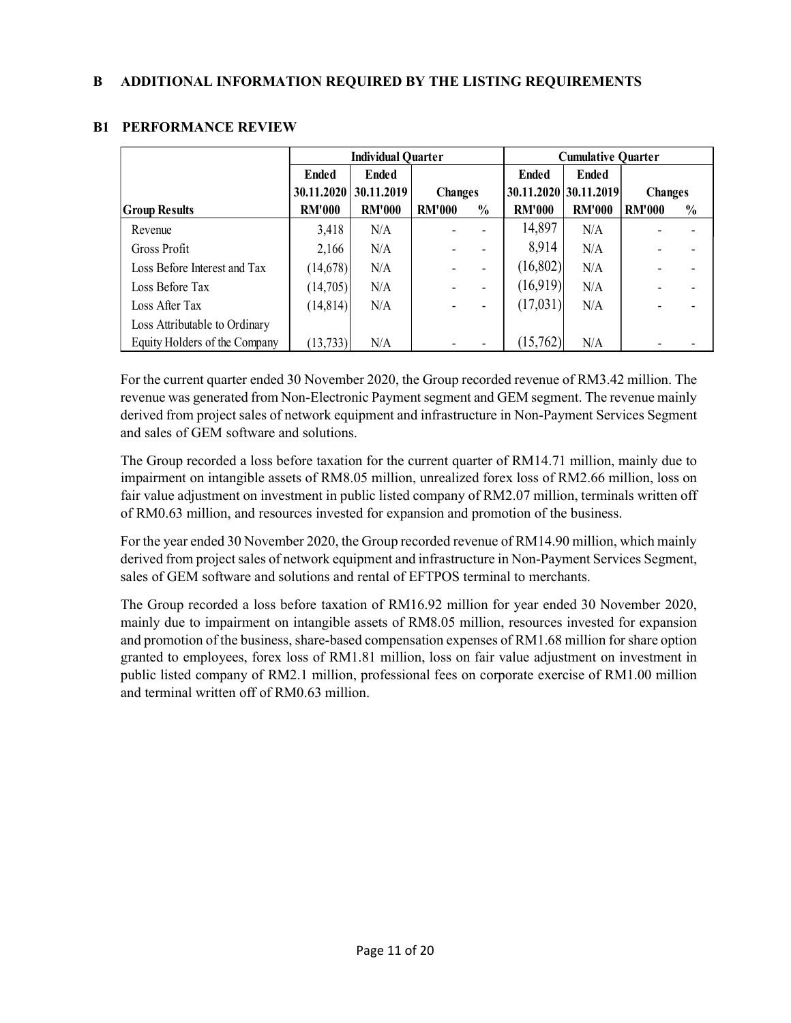|                               | <b>Individual Quarter</b> |               |                | <b>Cumulative Quarter</b> |                       |               |                |               |
|-------------------------------|---------------------------|---------------|----------------|---------------------------|-----------------------|---------------|----------------|---------------|
|                               | <b>Ended</b>              | <b>Ended</b>  |                |                           | <b>Ended</b>          | <b>Ended</b>  |                |               |
|                               | 30.11.2020                | 30.11.2019    | <b>Changes</b> |                           | 30.11.2020 30.11.2019 |               | <b>Changes</b> |               |
| <b>Group Results</b>          | <b>RM'000</b>             | <b>RM'000</b> | <b>RM'000</b>  | $\frac{0}{0}$             | <b>RM'000</b>         | <b>RM'000</b> | <b>RM'000</b>  | $\frac{0}{0}$ |
| Revenue                       | 3,418                     | N/A           |                |                           | 14,897                | N/A           |                |               |
| Gross Profit                  | 2,166                     | N/A           |                |                           | 8,914                 | N/A           |                |               |
| Loss Before Interest and Tax  | (14,678)                  | N/A           |                |                           | (16,802)              | N/A           |                |               |
| Loss Before Tax               | (14,705)                  | N/A           |                |                           | (16,919)              | N/A           |                |               |
| Loss After Tax                | (14, 814)                 | N/A           |                |                           | (17,031)              | N/A           |                |               |
| Loss Attributable to Ordinary |                           |               |                |                           |                       |               |                |               |
| Equity Holders of the Company | (13, 733)                 | N/A           |                |                           | (15,762)              | N/A           |                |               |

# B1 PERFORMANCE REVIEW

For the current quarter ended 30 November 2020, the Group recorded revenue of RM3.42 million. The revenue was generated from Non-Electronic Payment segment and GEM segment. The revenue mainly derived from project sales of network equipment and infrastructure in Non-Payment Services Segment and sales of GEM software and solutions.

The Group recorded a loss before taxation for the current quarter of RM14.71 million, mainly due to impairment on intangible assets of RM8.05 million, unrealized forex loss of RM2.66 million, loss on fair value adjustment on investment in public listed company of RM2.07 million, terminals written off of RM0.63 million, and resources invested for expansion and promotion of the business.

For the year ended 30 November 2020, the Group recorded revenue of RM14.90 million, which mainly derived from project sales of network equipment and infrastructure in Non-Payment Services Segment, sales of GEM software and solutions and rental of EFTPOS terminal to merchants.

The Group recorded a loss before taxation of RM16.92 million for year ended 30 November 2020, mainly due to impairment on intangible assets of RM8.05 million, resources invested for expansion and promotion of the business, share-based compensation expenses of RM1.68 million for share option granted to employees, forex loss of RM1.81 million, loss on fair value adjustment on investment in public listed company of RM2.1 million, professional fees on corporate exercise of RM1.00 million and terminal written off of RM0.63 million.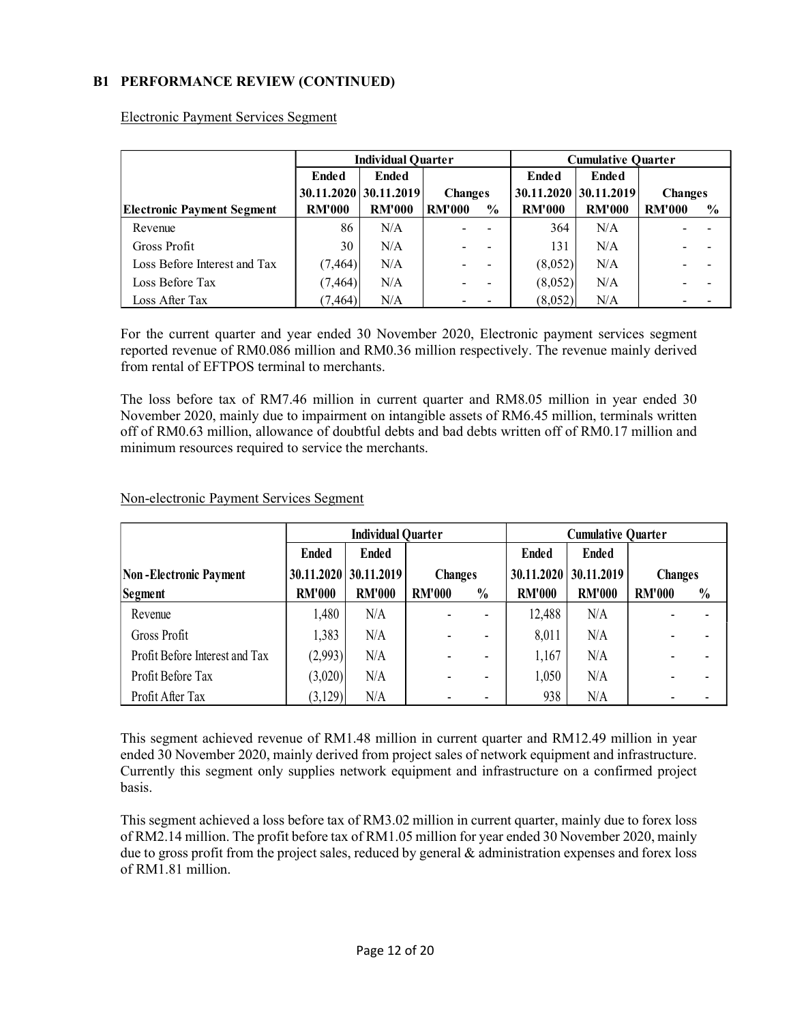# B1 PERFORMANCE REVIEW (CONTINUED)

|                                   |               | <b>Individual Quarter</b> |                       | <b>Cumulative Quarter</b> |                       |                |               |
|-----------------------------------|---------------|---------------------------|-----------------------|---------------------------|-----------------------|----------------|---------------|
|                                   | <b>Ended</b>  | <b>Ended</b>              |                       | <b>Ended</b>              | <b>Ended</b>          |                |               |
|                                   |               | 30.11.2020 30.11.2019     | <b>Changes</b>        |                           | 30.11.2020 30.11.2019 | <b>Changes</b> |               |
| <b>Electronic Payment Segment</b> | <b>RM'000</b> | <b>RM'000</b>             | <b>RM'000</b><br>$\%$ | <b>RM'000</b>             | <b>RM'000</b>         | <b>RM'000</b>  | $\frac{0}{0}$ |
| Revenue                           | 86            | N/A                       |                       | 364                       | N/A                   |                |               |
| Gross Profit                      | 30            | N/A                       |                       | 131                       | N/A                   |                |               |
| Loss Before Interest and Tax      | (7, 464)      | N/A                       |                       | (8,052)                   | N/A                   |                |               |
| Loss Before Tax                   | (7, 464)      | N/A                       |                       | (8,052)                   | N/A                   |                |               |
| Loss After Tax                    | (7, 464)      | N/A                       |                       | (8,052)                   | N/A                   |                |               |

Electronic Payment Services Segment

For the current quarter and year ended 30 November 2020, Electronic payment services segment reported revenue of RM0.086 million and RM0.36 million respectively. The revenue mainly derived from rental of EFTPOS terminal to merchants.

The loss before tax of RM7.46 million in current quarter and RM8.05 million in year ended 30 November 2020, mainly due to impairment on intangible assets of RM6.45 million, terminals written off of RM0.63 million, allowance of doubtful debts and bad debts written off of RM0.17 million and minimum resources required to service the merchants.

|                                | <b>Individual Quarter</b> |                         |                |                          |               |               |                |               | <b>Cumulative Quarter</b> |  |  |
|--------------------------------|---------------------------|-------------------------|----------------|--------------------------|---------------|---------------|----------------|---------------|---------------------------|--|--|
|                                | <b>Ended</b>              | <b>Ended</b>            |                |                          | <b>Ended</b>  | <b>Ended</b>  |                |               |                           |  |  |
| <b>Non-Electronic Payment</b>  |                           | $30.11.2020$ 30.11.2019 | <b>Changes</b> |                          | 30.11.2020    | 30.11.2019    | <b>Changes</b> |               |                           |  |  |
| Segment                        | <b>RM'000</b>             | <b>RM'000</b>           | <b>RM'000</b>  | $\frac{0}{0}$            | <b>RM'000</b> | <b>RM'000</b> | <b>RM'000</b>  | $\frac{0}{0}$ |                           |  |  |
| Revenue                        | 1,480                     | N/A                     |                | Ξ.                       | 12,488        | N/A           |                |               |                           |  |  |
| Gross Profit                   | 1,383                     | N/A                     |                |                          | 8,011         | N/A           |                |               |                           |  |  |
| Profit Before Interest and Tax | (2,993)                   | N/A                     |                | $\overline{\phantom{0}}$ | 1,167         | N/A           |                |               |                           |  |  |
| Profit Before Tax              | (3,020)                   | N/A                     |                |                          | 1,050         | N/A           |                |               |                           |  |  |
| Profit After Tax               | (3,129)                   | N/A                     |                |                          | 938           | N/A           |                |               |                           |  |  |

#### Non-electronic Payment Services Segment

This segment achieved revenue of RM1.48 million in current quarter and RM12.49 million in year ended 30 November 2020, mainly derived from project sales of network equipment and infrastructure. Currently this segment only supplies network equipment and infrastructure on a confirmed project basis.

This segment achieved a loss before tax of RM3.02 million in current quarter, mainly due to forex loss of RM2.14 million. The profit before tax of RM1.05 million for year ended 30 November 2020, mainly due to gross profit from the project sales, reduced by general & administration expenses and forex loss of RM1.81 million.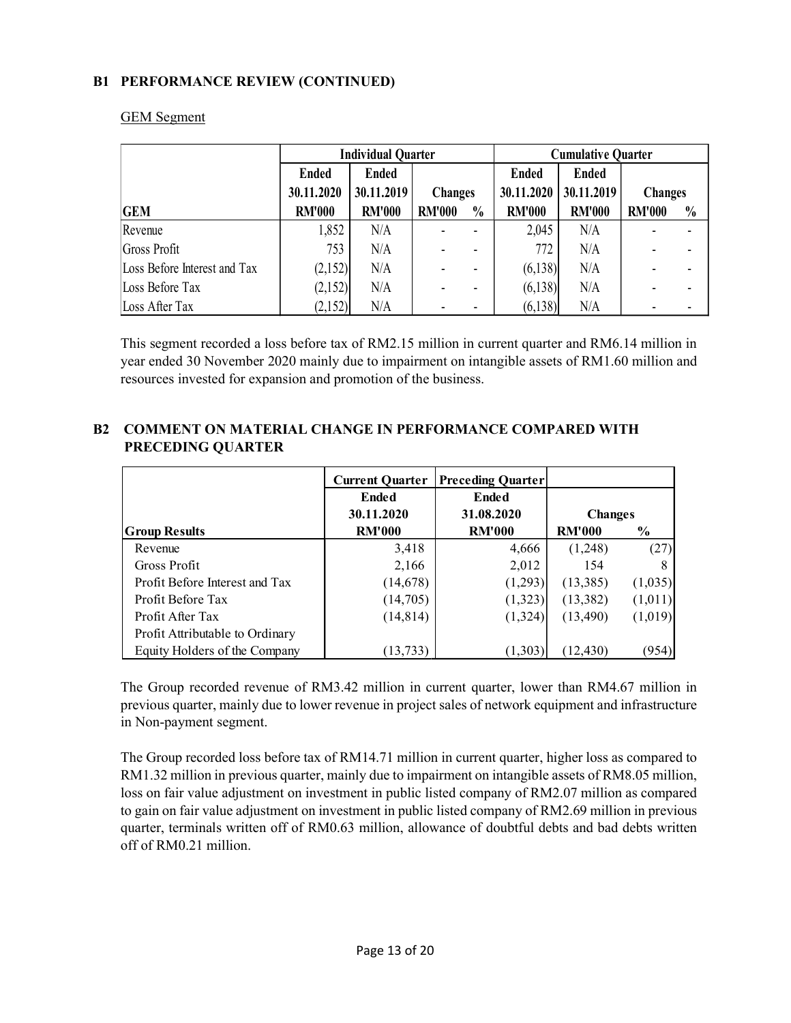# B1 PERFORMANCE REVIEW (CONTINUED)

|                              | <b>Individual Quarter</b> |               |                |               | <b>Cumulative Quarter</b> |               |               |               |            |            |                |  |
|------------------------------|---------------------------|---------------|----------------|---------------|---------------------------|---------------|---------------|---------------|------------|------------|----------------|--|
|                              | <b>Ended</b>              | <b>Ended</b>  |                |               | <b>Ended</b>              | <b>Ended</b>  |               |               |            |            |                |  |
|                              | 30.11.2020                | 30.11.2019    | <b>Changes</b> |               |                           |               |               |               | 30.11.2020 | 30.11.2019 | <b>Changes</b> |  |
| <b>GEM</b>                   | <b>RM'000</b>             | <b>RM'000</b> | <b>RM'000</b>  | $\frac{0}{0}$ | <b>RM'000</b>             | <b>RM'000</b> | <b>RM'000</b> | $\frac{0}{0}$ |            |            |                |  |
| Revenue                      | 1,852                     | N/A           |                |               | 2,045                     | N/A           |               |               |            |            |                |  |
| Gross Profit                 | 753                       | N/A           |                |               | 772                       | N/A           |               |               |            |            |                |  |
| Loss Before Interest and Tax | (2,152)                   | N/A           |                |               | (6,138)                   | N/A           |               |               |            |            |                |  |
| Loss Before Tax              | (2,152)                   | N/A           |                |               | (6,138)                   | N/A           |               |               |            |            |                |  |
| Loss After Tax               | (2,152)                   | N/A           |                |               | (6,138)                   | N/A           |               |               |            |            |                |  |

#### GEM Segment

This segment recorded a loss before tax of RM2.15 million in current quarter and RM6.14 million in year ended 30 November 2020 mainly due to impairment on intangible assets of RM1.60 million and resources invested for expansion and promotion of the business.

|                                 | <b>Current Quarter</b> | <b>Preceding Quarter</b> |                |               |
|---------------------------------|------------------------|--------------------------|----------------|---------------|
|                                 | Ended                  | Ended                    |                |               |
|                                 | 30.11.2020             | 31.08.2020               | <b>Changes</b> |               |
| <b>Group Results</b>            | <b>RM'000</b>          | <b>RM'000</b>            | <b>RM'000</b>  | $\frac{0}{0}$ |
| Revenue                         | 3,418                  | 4,666                    | (1,248)        | (27)          |
| Gross Profit                    | 2,166                  | 2,012                    | 154            | 8             |
| Profit Before Interest and Tax  | (14, 678)              | (1,293)                  | (13,385)       | (1,035)       |
| Profit Before Tax               | (14,705)               | (1,323)                  | (13, 382)      | (1,011)       |
| Profit After Tax                | (14, 814)              | (1,324)                  | (13, 490)      | (1,019)       |
| Profit Attributable to Ordinary |                        |                          |                |               |
| Equity Holders of the Company   | (13, 733)              | (1,303)                  | (12, 430)      | (954)         |

# B2 COMMENT ON MATERIAL CHANGE IN PERFORMANCE COMPARED WITH PRECEDING QUARTER

The Group recorded revenue of RM3.42 million in current quarter, lower than RM4.67 million in previous quarter, mainly due to lower revenue in project sales of network equipment and infrastructure in Non-payment segment.

The Group recorded loss before tax of RM14.71 million in current quarter, higher loss as compared to RM1.32 million in previous quarter, mainly due to impairment on intangible assets of RM8.05 million, loss on fair value adjustment on investment in public listed company of RM2.07 million as compared to gain on fair value adjustment on investment in public listed company of RM2.69 million in previous quarter, terminals written off of RM0.63 million, allowance of doubtful debts and bad debts written off of RM0.21 million.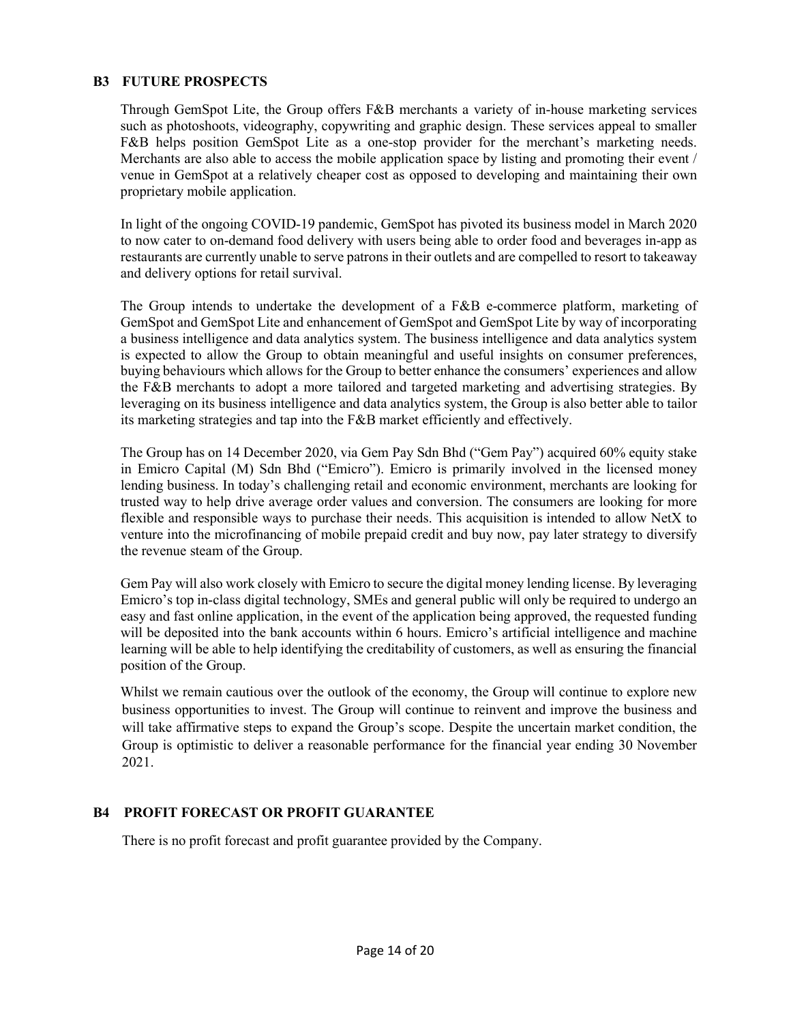# B3 FUTURE PROSPECTS

Through GemSpot Lite, the Group offers F&B merchants a variety of in-house marketing services such as photoshoots, videography, copywriting and graphic design. These services appeal to smaller F&B helps position GemSpot Lite as a one-stop provider for the merchant's marketing needs. Merchants are also able to access the mobile application space by listing and promoting their event / venue in GemSpot at a relatively cheaper cost as opposed to developing and maintaining their own proprietary mobile application.

In light of the ongoing COVID-19 pandemic, GemSpot has pivoted its business model in March 2020 to now cater to on-demand food delivery with users being able to order food and beverages in-app as restaurants are currently unable to serve patrons in their outlets and are compelled to resort to takeaway and delivery options for retail survival.

The Group intends to undertake the development of a F&B e-commerce platform, marketing of GemSpot and GemSpot Lite and enhancement of GemSpot and GemSpot Lite by way of incorporating a business intelligence and data analytics system. The business intelligence and data analytics system is expected to allow the Group to obtain meaningful and useful insights on consumer preferences, buying behaviours which allows for the Group to better enhance the consumers' experiences and allow the F&B merchants to adopt a more tailored and targeted marketing and advertising strategies. By leveraging on its business intelligence and data analytics system, the Group is also better able to tailor its marketing strategies and tap into the F&B market efficiently and effectively.

The Group has on 14 December 2020, via Gem Pay Sdn Bhd ("Gem Pay") acquired 60% equity stake in Emicro Capital (M) Sdn Bhd ("Emicro"). Emicro is primarily involved in the licensed money lending business. In today's challenging retail and economic environment, merchants are looking for trusted way to help drive average order values and conversion. The consumers are looking for more flexible and responsible ways to purchase their needs. This acquisition is intended to allow NetX to venture into the microfinancing of mobile prepaid credit and buy now, pay later strategy to diversify the revenue steam of the Group.

Gem Pay will also work closely with Emicro to secure the digital money lending license. By leveraging Emicro's top in-class digital technology, SMEs and general public will only be required to undergo an easy and fast online application, in the event of the application being approved, the requested funding will be deposited into the bank accounts within 6 hours. Emicro's artificial intelligence and machine learning will be able to help identifying the creditability of customers, as well as ensuring the financial position of the Group.

Whilst we remain cautious over the outlook of the economy, the Group will continue to explore new business opportunities to invest. The Group will continue to reinvent and improve the business and will take affirmative steps to expand the Group's scope. Despite the uncertain market condition, the Group is optimistic to deliver a reasonable performance for the financial year ending 30 November 2021.

### B4 PROFIT FORECAST OR PROFIT GUARANTEE

There is no profit forecast and profit guarantee provided by the Company.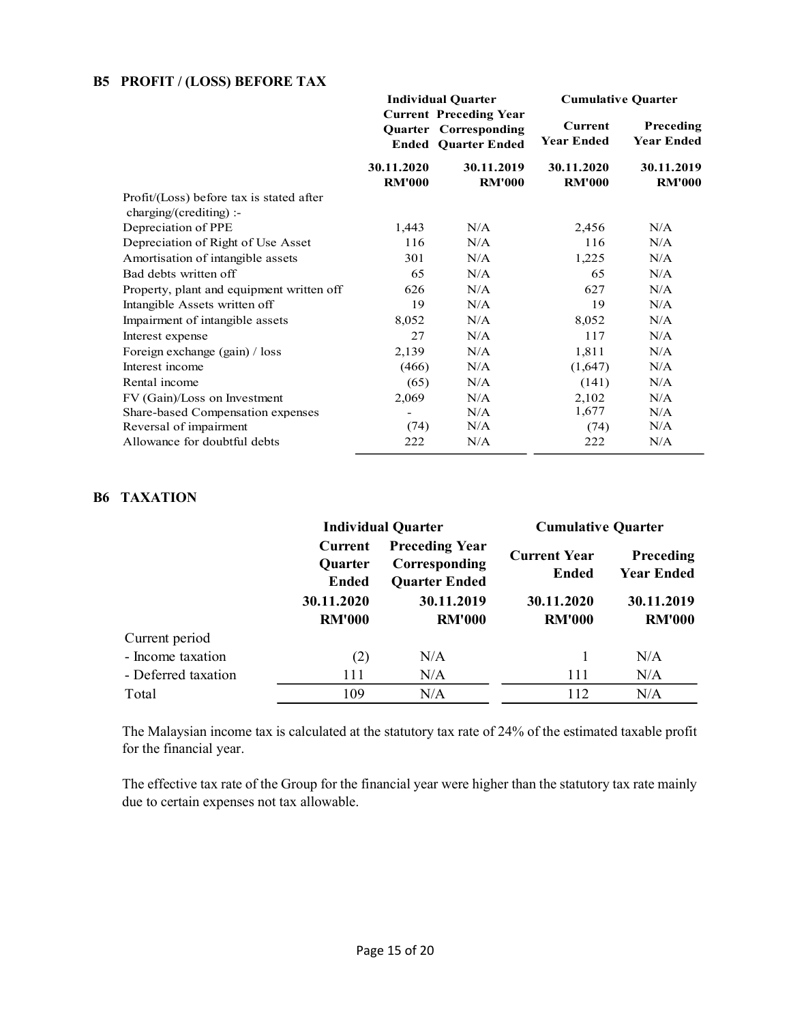# B5 PROFIT / (LOSS) BEFORE TAX

|                                                                     |                             | <b>Individual Quarter</b>                                                                   | <b>Cumulative Quarter</b>    |                                |  |
|---------------------------------------------------------------------|-----------------------------|---------------------------------------------------------------------------------------------|------------------------------|--------------------------------|--|
|                                                                     |                             | <b>Current Preceding Year</b><br><b>Quarter Corresponding</b><br><b>Ended Quarter Ended</b> | Current<br><b>Year Ended</b> | Preceding<br><b>Year Ended</b> |  |
|                                                                     | 30.11.2020<br><b>RM'000</b> | 30.11.2019<br><b>RM'000</b>                                                                 | 30.11.2020<br><b>RM'000</b>  | 30.11.2019<br><b>RM'000</b>    |  |
| Profit/(Loss) before tax is stated after<br>charging/(crediting) :- |                             |                                                                                             |                              |                                |  |
| Depreciation of PPE                                                 | 1,443                       | N/A                                                                                         | 2,456                        | N/A                            |  |
| Depreciation of Right of Use Asset                                  | 116                         | N/A                                                                                         | 116                          | N/A                            |  |
| Amortisation of intangible assets                                   | 301                         | N/A                                                                                         | 1,225                        | N/A                            |  |
| Bad debts written off                                               | 65                          | N/A                                                                                         | 65                           | N/A                            |  |
| Property, plant and equipment written off                           | 626                         | N/A                                                                                         | 627                          | N/A                            |  |
| Intangible Assets written off                                       | 19                          | N/A                                                                                         | 19                           | N/A                            |  |
| Impairment of intangible assets                                     | 8,052                       | N/A                                                                                         | 8,052                        | N/A                            |  |
| Interest expense                                                    | 27                          | N/A                                                                                         | 117                          | N/A                            |  |
| Foreign exchange (gain) / loss                                      | 2,139                       | N/A                                                                                         | 1,811                        | N/A                            |  |
| Interest income                                                     | (466)                       | N/A                                                                                         | (1,647)                      | N/A                            |  |
| Rental income                                                       | (65)                        | N/A                                                                                         | (141)                        | N/A                            |  |
| FV (Gain)/Loss on Investment                                        | 2,069                       | N/A                                                                                         | 2,102                        | N/A                            |  |
| Share-based Compensation expenses                                   |                             | N/A                                                                                         | 1,677                        | N/A                            |  |
| Reversal of impairment                                              | (74)                        | N/A                                                                                         | (74)                         | N/A                            |  |
| Allowance for doubtful debts                                        | 222                         | N/A                                                                                         | 222                          | N/A                            |  |

### B6 TAXATION

|                     |                                                                   | <b>Individual Quarter</b>                                                                     | <b>Cumulative Quarter</b>                                          |                                                                      |
|---------------------|-------------------------------------------------------------------|-----------------------------------------------------------------------------------------------|--------------------------------------------------------------------|----------------------------------------------------------------------|
|                     | Current<br><b>Quarter</b><br>Ended<br>30.11.2020<br><b>RM'000</b> | <b>Preceding Year</b><br>Corresponding<br><b>Quarter Ended</b><br>30.11.2019<br><b>RM'000</b> | <b>Current Year</b><br><b>Ended</b><br>30.11.2020<br><b>RM'000</b> | <b>Preceding</b><br><b>Year Ended</b><br>30.11.2019<br><b>RM'000</b> |
| Current period      |                                                                   |                                                                                               |                                                                    |                                                                      |
| - Income taxation   | (2)                                                               | N/A                                                                                           |                                                                    | N/A                                                                  |
| - Deferred taxation | 111                                                               | N/A                                                                                           | 111                                                                | N/A                                                                  |
| Total               | 109                                                               | N/A                                                                                           | 112                                                                | N/A                                                                  |

 The Malaysian income tax is calculated at the statutory tax rate of 24% of the estimated taxable profit for the financial year.

 The effective tax rate of the Group for the financial year were higher than the statutory tax rate mainly due to certain expenses not tax allowable.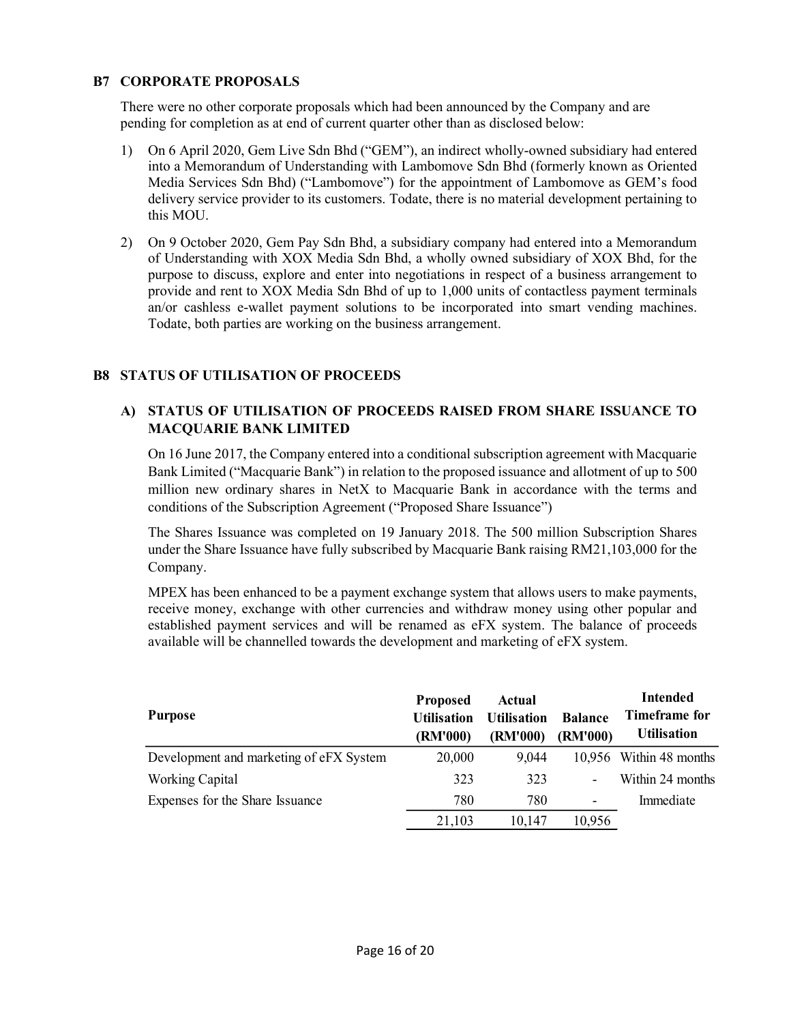# B7 CORPORATE PROPOSALS

There were no other corporate proposals which had been announced by the Company and are pending for completion as at end of current quarter other than as disclosed below:

- 1) On 6 April 2020, Gem Live Sdn Bhd ("GEM"), an indirect wholly-owned subsidiary had entered into a Memorandum of Understanding with Lambomove Sdn Bhd (formerly known as Oriented Media Services Sdn Bhd) ("Lambomove") for the appointment of Lambomove as GEM's food delivery service provider to its customers. Todate, there is no material development pertaining to this MOU.
- 2) On 9 October 2020, Gem Pay Sdn Bhd, a subsidiary company had entered into a Memorandum of Understanding with XOX Media Sdn Bhd, a wholly owned subsidiary of XOX Bhd, for the purpose to discuss, explore and enter into negotiations in respect of a business arrangement to provide and rent to XOX Media Sdn Bhd of up to 1,000 units of contactless payment terminals an/or cashless e-wallet payment solutions to be incorporated into smart vending machines. Todate, both parties are working on the business arrangement.

# B8 STATUS OF UTILISATION OF PROCEEDS

# A) STATUS OF UTILISATION OF PROCEEDS RAISED FROM SHARE ISSUANCE TO MACQUARIE BANK LIMITED

On 16 June 2017, the Company entered into a conditional subscription agreement with Macquarie Bank Limited ("Macquarie Bank") in relation to the proposed issuance and allotment of up to 500 million new ordinary shares in NetX to Macquarie Bank in accordance with the terms and conditions of the Subscription Agreement ("Proposed Share Issuance")

The Shares Issuance was completed on 19 January 2018. The 500 million Subscription Shares under the Share Issuance have fully subscribed by Macquarie Bank raising RM21,103,000 for the Company.

MPEX has been enhanced to be a payment exchange system that allows users to make payments, receive money, exchange with other currencies and withdraw money using other popular and established payment services and will be renamed as eFX system. The balance of proceeds available will be channelled towards the development and marketing of eFX system.

| Purpose                                 | <b>Proposed</b><br><b>Utilisation</b><br>(RM'000) | Actual<br><b>Utilisation</b><br>(RM'000) | <b>Balance</b><br>(RM'000) | <b>Intended</b><br>Timeframe for<br><b>Utilisation</b> |
|-----------------------------------------|---------------------------------------------------|------------------------------------------|----------------------------|--------------------------------------------------------|
| Development and marketing of eFX System | 20,000                                            | 9,044                                    |                            | 10,956 Within 48 months                                |
| <b>Working Capital</b>                  | 323                                               | 323                                      |                            | Within 24 months                                       |
| Expenses for the Share Issuance         | 780                                               | 780                                      | $\overline{\phantom{a}}$   | Immediate                                              |
|                                         | 21,103                                            | 10.147                                   | 10,956                     |                                                        |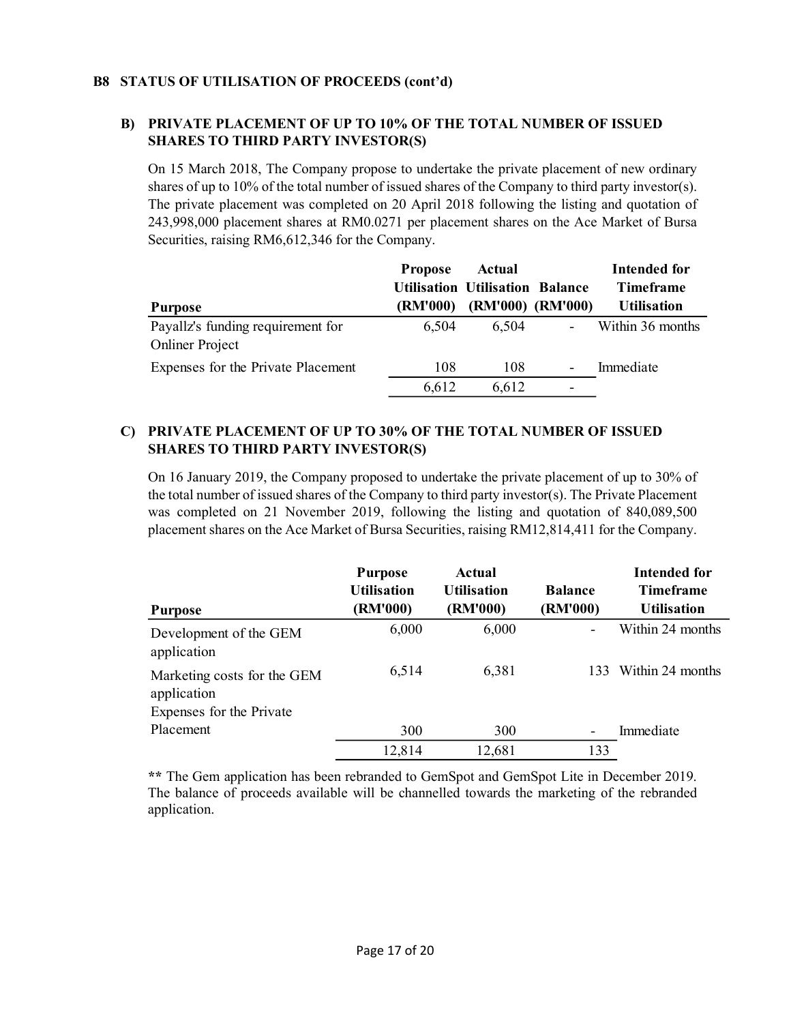# B8 STATUS OF UTILISATION OF PROCEEDS (cont'd)

# B) PRIVATE PLACEMENT OF UP TO 10% OF THE TOTAL NUMBER OF ISSUED SHARES TO THIRD PARTY INVESTOR(S)

On 15 March 2018, The Company propose to undertake the private placement of new ordinary shares of up to 10% of the total number of issued shares of the Company to third party investor(s). The private placement was completed on 20 April 2018 following the listing and quotation of 243,998,000 placement shares at RM0.0271 per placement shares on the Ace Market of Bursa Securities, raising RM6,612,346 for the Company.

|                                    | <b>Propose</b>  | Actual                                 |                              | Intended for       |
|------------------------------------|-----------------|----------------------------------------|------------------------------|--------------------|
|                                    |                 | <b>Utilisation Utilisation Balance</b> |                              | <b>Timeframe</b>   |
| <b>Purpose</b>                     | <b>(RM'000)</b> |                                        | (RM'000) (RM'000)            | <b>Utilisation</b> |
| Payallz's funding requirement for  | 6.504           | 6,504                                  |                              | Within 36 months   |
| <b>Onliner Project</b>             |                 |                                        |                              |                    |
| Expenses for the Private Placement | 108             | 108                                    | $\qquad \qquad \blacksquare$ | Immediate          |
|                                    | 6,612           | 6,612                                  | -                            |                    |

# C) PRIVATE PLACEMENT OF UP TO 30% OF THE TOTAL NUMBER OF ISSUED SHARES TO THIRD PARTY INVESTOR(S)

On 16 January 2019, the Company proposed to undertake the private placement of up to 30% of the total number of issued shares of the Company to third party investor(s). The Private Placement was completed on 21 November 2019, following the listing and quotation of 840,089,500 placement shares on the Ace Market of Bursa Securities, raising RM12,814,411 for the Company.

| <b>Purpose</b>                                                         | <b>Purpose</b><br><b>Utilisation</b><br>(RM'000) | Actual<br><b>Utilisation</b><br>(RM'000) | <b>Balance</b><br>(RM'000) | Intended for<br><b>Timeframe</b><br><b>Utilisation</b> |
|------------------------------------------------------------------------|--------------------------------------------------|------------------------------------------|----------------------------|--------------------------------------------------------|
| Development of the GEM<br>application                                  | 6,000                                            | 6,000                                    |                            | Within 24 months                                       |
| Marketing costs for the GEM<br>application<br>Expenses for the Private | 6,514                                            | 6,381                                    | 133                        | Within 24 months                                       |
| Placement                                                              | 300                                              | 300                                      |                            | Immediate                                              |
|                                                                        | 12,814                                           | 12,681                                   | 133                        |                                                        |

\*\* The Gem application has been rebranded to GemSpot and GemSpot Lite in December 2019. The balance of proceeds available will be channelled towards the marketing of the rebranded application.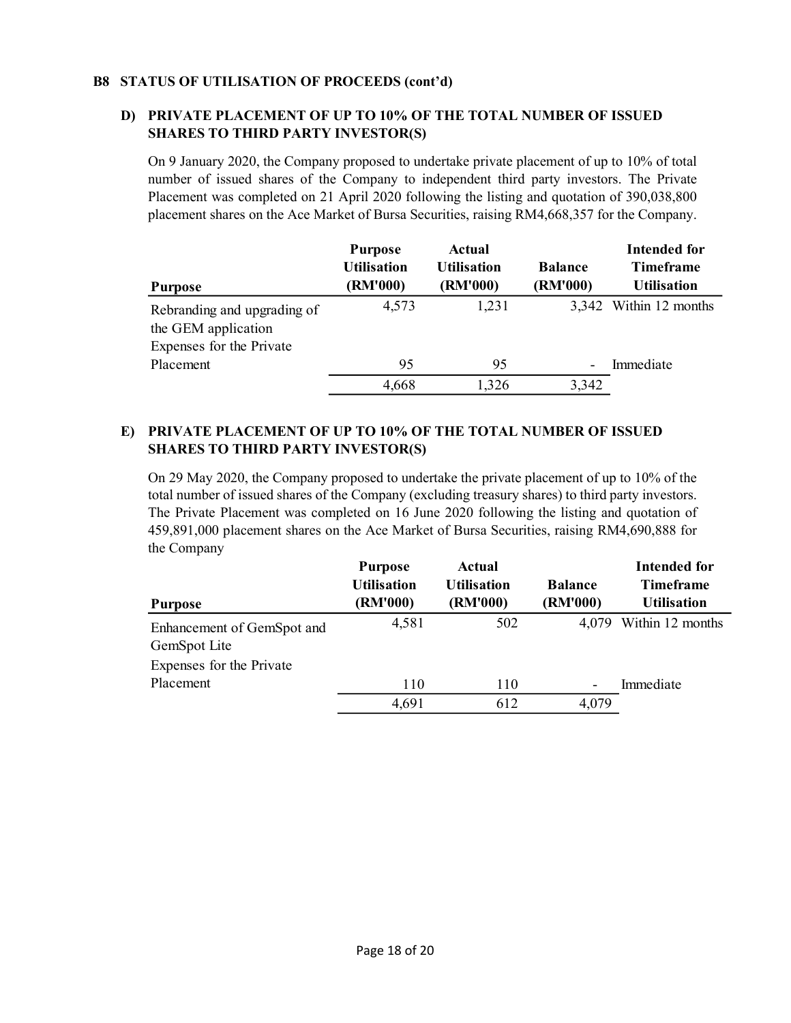# B8 STATUS OF UTILISATION OF PROCEEDS (cont'd)

# D) PRIVATE PLACEMENT OF UP TO 10% OF THE TOTAL NUMBER OF ISSUED SHARES TO THIRD PARTY INVESTOR(S)

On 9 January 2020, the Company proposed to undertake private placement of up to 10% of total number of issued shares of the Company to independent third party investors. The Private Placement was completed on 21 April 2020 following the listing and quotation of 390,038,800 placement shares on the Ace Market of Bursa Securities, raising RM4,668,357 for the Company.

|                             | <b>Purpose</b><br><b>Utilisation</b> | Actual<br><b>Utilisation</b> | <b>Balance</b> | Intended for<br><b>Timeframe</b> |
|-----------------------------|--------------------------------------|------------------------------|----------------|----------------------------------|
| <b>Purpose</b>              | (RM'000)                             | (RM'000)                     | (RM'000)       | <b>Utilisation</b>               |
| Rebranding and upgrading of | 4,573                                | 1,231                        |                | 3,342 Within 12 months           |
| the GEM application         |                                      |                              |                |                                  |
| Expenses for the Private    |                                      |                              |                |                                  |
| Placement                   | 95                                   | 95                           |                | Immediate                        |
|                             | 4,668                                | 1,326                        | 3,342          |                                  |

# E) PRIVATE PLACEMENT OF UP TO 10% OF THE TOTAL NUMBER OF ISSUED SHARES TO THIRD PARTY INVESTOR(S)

On 29 May 2020, the Company proposed to undertake the private placement of up to 10% of the total number of issued shares of the Company (excluding treasury shares) to third party investors. The Private Placement was completed on 16 June 2020 following the listing and quotation of 459,891,000 placement shares on the Ace Market of Bursa Securities, raising RM4,690,888 for the Company

|                            | <b>Purpose</b><br><b>Utilisation</b> | <b>Actual</b><br><b>Utilisation</b> | <b>Balance</b> | <b>Intended for</b><br><b>Timeframe</b> |
|----------------------------|--------------------------------------|-------------------------------------|----------------|-----------------------------------------|
| <b>Purpose</b>             | (RM'000)                             | (RM'000)                            | (RM'000)       | <b>Utilisation</b>                      |
| Enhancement of GemSpot and | 4,581                                | 502                                 | 4.079          | Within 12 months                        |
| GemSpot Lite               |                                      |                                     |                |                                         |
| Expenses for the Private   |                                      |                                     |                |                                         |
| Placement                  | 110                                  | 110                                 |                | Immediate                               |
|                            | 4,691                                | 612                                 | 4,079          |                                         |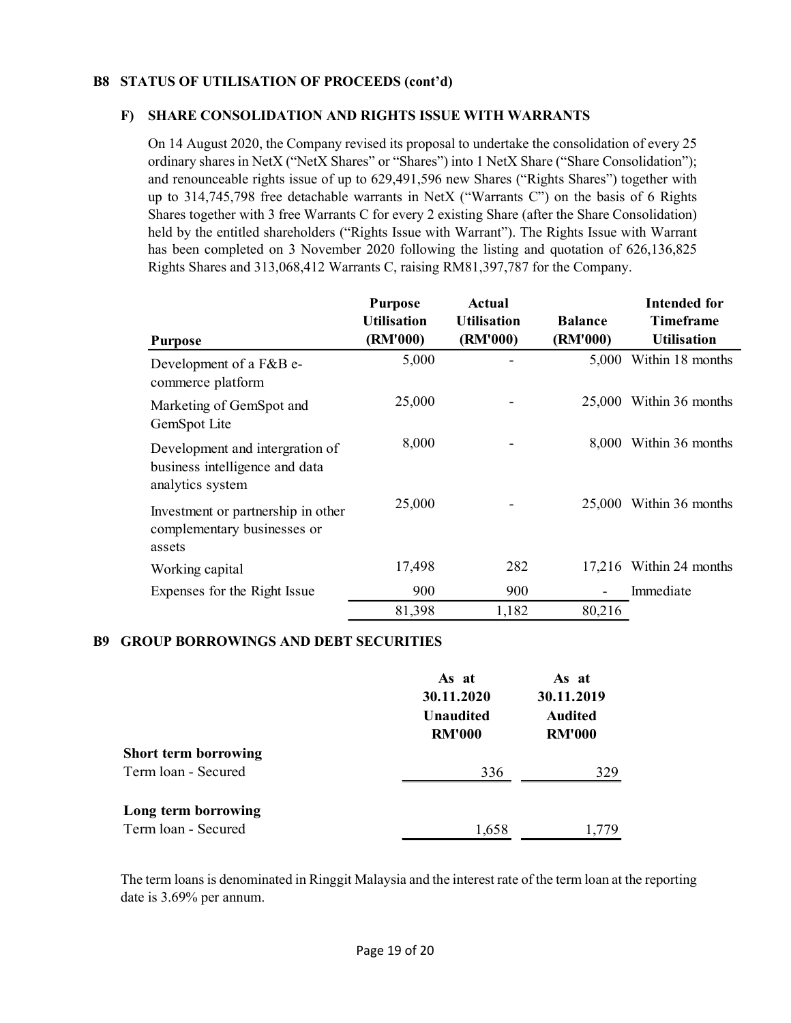# B8 STATUS OF UTILISATION OF PROCEEDS (cont'd)

### F) SHARE CONSOLIDATION AND RIGHTS ISSUE WITH WARRANTS

On 14 August 2020, the Company revised its proposal to undertake the consolidation of every 25 ordinary shares in NetX ("NetX Shares" or "Shares") into 1 NetX Share ("Share Consolidation"); and renounceable rights issue of up to 629,491,596 new Shares ("Rights Shares") together with up to 314,745,798 free detachable warrants in NetX ("Warrants C") on the basis of 6 Rights Shares together with 3 free Warrants C for every 2 existing Share (after the Share Consolidation) held by the entitled shareholders ("Rights Issue with Warrant"). The Rights Issue with Warrant has been completed on 3 November 2020 following the listing and quotation of 626,136,825 Rights Shares and 313,068,412 Warrants C, raising RM81,397,787 for the Company.

| <b>Purpose</b>                                                                        | <b>Purpose</b><br><b>Utilisation</b><br>(RM'000) | Actual<br><b>Utilisation</b><br>(RM'000) | <b>Balance</b><br>(RM'000) | Intended for<br><b>Timeframe</b><br><b>Utilisation</b> |
|---------------------------------------------------------------------------------------|--------------------------------------------------|------------------------------------------|----------------------------|--------------------------------------------------------|
| Development of a F&B e-<br>commerce platform                                          | 5,000                                            |                                          | 5,000                      | Within 18 months                                       |
| Marketing of GemSpot and<br>GemSpot Lite                                              | 25,000                                           |                                          |                            | 25,000 Within 36 months                                |
| Development and intergration of<br>business intelligence and data<br>analytics system | 8,000                                            |                                          | 8,000                      | Within 36 months                                       |
| Investment or partnership in other<br>complementary businesses or<br>assets           | 25,000                                           |                                          |                            | 25,000 Within 36 months                                |
| Working capital                                                                       | 17,498                                           | 282                                      |                            | 17,216 Within 24 months                                |
| Expenses for the Right Issue                                                          | 900                                              | 900                                      |                            | Immediate                                              |
|                                                                                       | 81,398                                           | 1,182                                    | 80,216                     |                                                        |

#### B9 GROUP BORROWINGS AND DEBT SECURITIES

|                             | As at<br>30.11.2020<br><b>Unaudited</b><br><b>RM'000</b> | As at<br>30.11.2019<br><b>Audited</b><br><b>RM'000</b> |  |
|-----------------------------|----------------------------------------------------------|--------------------------------------------------------|--|
| <b>Short term borrowing</b> |                                                          |                                                        |  |
| Term loan - Secured         | 336                                                      | 329                                                    |  |
| Long term borrowing         |                                                          |                                                        |  |
| Term loan - Secured         | 1,658                                                    | 1.779                                                  |  |

The term loans is denominated in Ringgit Malaysia and the interest rate of the term loan at the reporting date is 3.69% per annum.